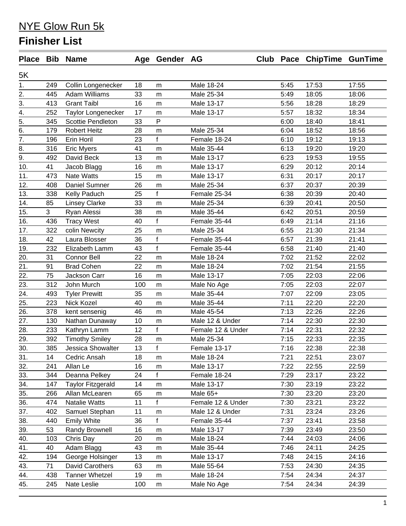|                  |     | Place Bib Name           |     | Age Gender AG |                   |      | Club Pace ChipTime GunTime |       |
|------------------|-----|--------------------------|-----|---------------|-------------------|------|----------------------------|-------|
| 5K               |     |                          |     |               |                   |      |                            |       |
| 1.               | 249 | Collin Longenecker       | 18  | m             | Male 18-24        | 5:45 | 17:53                      | 17:55 |
| $\overline{2}$ . | 445 | <b>Adam Williams</b>     | 33  | m             | Male 25-34        | 5:49 | 18:05                      | 18:06 |
| 3.               | 413 | <b>Grant Taibl</b>       | 16  | m             | Male 13-17        | 5:56 | 18:28                      | 18:29 |
| 4.               | 252 | Taylor Longenecker       | 17  | m             | Male 13-17        | 5:57 | 18:32                      | 18:34 |
| $\overline{5}$ . | 345 | <b>Scottie Pendleton</b> | 33  | P             |                   | 6:00 | 18:40                      | 18:41 |
| $\overline{6}$ . | 179 | <b>Robert Heitz</b>      | 28  | m             | Male 25-34        | 6:04 | 18:52                      | 18:56 |
| $\overline{7}$ . | 196 | Erin Horil               | 23  | $\mathsf{f}$  | Female 18-24      | 6:10 | 19:12                      | 19:13 |
| 8.               | 316 | <b>Eric Myers</b>        | 41  | m             | Male 35-44        | 6:13 | 19:20                      | 19:20 |
| $\overline{9}$ . | 492 | David Beck               | 13  | m             | Male 13-17        | 6:23 | 19:53                      | 19:55 |
| 10.              | 41  | Jacob Blagg              | 16  | m             | Male 13-17        | 6:29 | 20:12                      | 20:14 |
| 11.              | 473 | <b>Nate Watts</b>        | 15  | m             | Male 13-17        | 6:31 | 20:17                      | 20:17 |
| 12.              | 408 | Daniel Sumner            | 26  | m             | Male 25-34        | 6:37 | 20:37                      | 20:39 |
| 13.              | 338 | Kelly Paduch             | 25  | f             | Female 25-34      | 6:38 | 20:39                      | 20:40 |
| 14.              | 85  | <b>Linsey Clarke</b>     | 33  | m             | Male 25-34        | 6:39 | 20:41                      | 20:50 |
| 15.              | 3   | Ryan Alessi              | 38  | m             | Male 35-44        | 6:42 | 20:51                      | 20:59 |
| 16.              | 436 | <b>Tracy West</b>        | 40  | $\mathsf{f}$  | Female 35-44      | 6:49 | 21:14                      | 21:16 |
| 17.              | 322 | colin Newcity            | 25  | m             | Male 25-34        | 6:55 | 21:30                      | 21:34 |
| 18.              | 42  | Laura Blosser            | 36  | $\mathsf f$   | Female 35-44      | 6:57 | 21:39                      | 21:41 |
| 19.              | 232 | Elizabeth Lamm           | 43  | $\mathbf{f}$  | Female 35-44      | 6:58 | 21:40                      | 21:40 |
| 20.              | 31  | <b>Connor Bell</b>       | 22  | m             | Male 18-24        | 7:02 | 21:52                      | 22:02 |
| 21.              | 91  | <b>Brad Cohen</b>        | 22  | m             | Male 18-24        | 7:02 | 21:54                      | 21:55 |
| 22.              | 75  | Jackson Carr             | 16  | m             | Male 13-17        | 7:05 | 22:03                      | 22:06 |
| 23.              | 312 | John Murch               | 100 | m             | Male No Age       | 7:05 | 22:03                      | 22:07 |
| 24.              | 493 | <b>Tyler Prewitt</b>     | 35  | m             | Male 35-44        | 7:07 | 22:09                      | 23:05 |
| 25.              | 223 | Nick Kozel               | 40  | m             | Male 35-44        | 7:11 | 22:20                      | 22:20 |
| 26.              | 378 | kent sensenig            | 46  | m             | Male 45-54        | 7:13 | 22:26                      | 22:26 |
| 27.              | 130 | Nathan Dunaway           | 10  | m             | Male 12 & Under   | 7:14 | 22:30                      | 22:30 |
| 28.              | 233 | Kathryn Lamm             | 12  | $\mathbf{f}$  | Female 12 & Under | 7:14 | 22:31                      | 22:32 |
| 29.              | 392 | <b>Timothy Smiley</b>    | 28  | m             | Male 25-34        | 7:15 | 22:33                      | 22:35 |
| 30.              | 385 | Jessica Showalter        | 13  | $\mathsf{f}$  | Female 13-17      | 7:16 | 22:38                      | 22:38 |
| 31.              | 14  | Cedric Ansah             | 18  | m             | Male 18-24        | 7:21 | 22:51                      | 23:07 |
| 32.              | 241 | Allan Le                 | 16  | m             | Male 13-17        | 7:22 | 22:55                      | 22:59 |
| 33.              | 344 | Deanna Pelkey            | 24  | $\mathbf{f}$  | Female 18-24      | 7:29 | 23:17                      | 23:22 |
| 34.              | 147 | <b>Taylor Fitzgerald</b> | 14  | m             | Male 13-17        | 7:30 | 23:19                      | 23:22 |
| 35.              | 266 | Allan McLearen           | 65  | m             | Male 65+          | 7:30 | 23:20                      | 23:20 |
| 36.              | 474 | Natalie Watts            | 11  | f             | Female 12 & Under | 7:30 | 23:21                      | 23:22 |
| 37.              | 402 | Samuel Stephan           | 11  | m             | Male 12 & Under   | 7:31 | 23:24                      | 23:26 |
| 38.              | 440 | <b>Emily White</b>       | 36  | $\mathsf{f}$  | Female 35-44      | 7:37 | 23:41                      | 23:58 |
| 39.              | 53  | Randy Brownell           | 16  | m             | Male 13-17        | 7:39 | 23:49                      | 23:50 |
| 40.              | 103 | Chris Day                | 20  | m             | Male 18-24        | 7:44 | 24:03                      | 24:06 |
| 41.              | 40  | Adam Blagg               | 43  | m             | Male 35-44        | 7:46 | 24:11                      | 24:25 |
| 42.              | 194 | George Holsinger         | 13  | m             | Male 13-17        | 7:48 | 24:15                      | 24:16 |
| 43.              | 71  | David Carothers          | 63  | m             | Male 55-64        | 7:53 | 24:30                      | 24:35 |
| 44.              | 438 | <b>Tanner Whetzel</b>    | 19  | m             | Male 18-24        | 7:54 | 24:34                      | 24:37 |
| 45.              | 245 | Nate Leslie              | 100 | m             | Male No Age       | 7:54 | 24:34                      | 24:39 |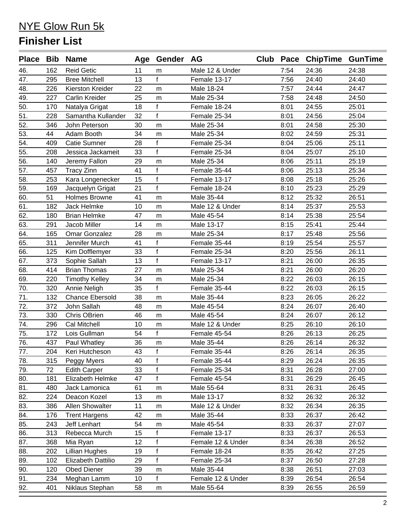| Place Bib Name |     |                        |    | Age Gender AG |                   |      | Club Pace ChipTime GunTime |       |
|----------------|-----|------------------------|----|---------------|-------------------|------|----------------------------|-------|
| 46.            | 162 | <b>Reid Getic</b>      | 11 | m             | Male 12 & Under   | 7:54 | 24:36                      | 24:38 |
| 47.            | 295 | <b>Bree Mitchell</b>   | 13 | f             | Female 13-17      | 7:56 | 24:40                      | 24:40 |
| 48.            | 226 | Kierston Kreider       | 22 | m             | Male 18-24        | 7:57 | 24:44                      | 24:47 |
| 49.            | 227 | Carlin Kreider         | 25 | m             | Male 25-34        | 7:58 | 24:48                      | 24:50 |
| 50.            | 170 | Natalya Grigat         | 18 | $\mathbf{f}$  | Female 18-24      | 8:01 | 24:55                      | 25:01 |
| 51.            | 228 | Samantha Kullander     | 32 | $\mathbf{f}$  | Female 25-34      | 8:01 | 24:56                      | 25:04 |
| 52.            | 346 | John Peterson          | 30 | m             | Male 25-34        | 8:01 | 24:58                      | 25:30 |
| 53.            | 44  | Adam Booth             | 34 | m             | Male 25-34        | 8:02 | 24:59                      | 25:31 |
| 54.            | 409 | <b>Catie Sumner</b>    | 28 | $\mathsf f$   | Female 25-34      | 8:04 | 25:06                      | 25:11 |
| 55.            | 208 | Jessica Jackameit      | 33 | f             | Female 25-34      | 8:04 | 25:07                      | 25:10 |
| 56.            | 140 | Jeremy Fallon          | 29 | m             | Male 25-34        | 8:06 | 25:11                      | 25:19 |
| 57.            | 457 | <b>Tracy Zinn</b>      | 41 | $\mathbf{f}$  | Female 35-44      | 8:06 | 25:13                      | 25:34 |
| 58.            | 253 | Kara Longenecker       | 15 | $\mathsf f$   | Female 13-17      | 8:08 | 25:18                      | 25:26 |
| 59.            | 169 | Jacquelyn Grigat       | 21 | $\mathbf{f}$  | Female 18-24      | 8:10 | 25:23                      | 25:29 |
| 60.            | 51  | <b>Holmes Browne</b>   | 41 | m             | Male 35-44        | 8:12 | 25:32                      | 26:51 |
| 61.            | 182 | Jack Helmke            | 10 | m             | Male 12 & Under   | 8:14 | 25:37                      | 25:53 |
| 62.            | 180 | <b>Brian Helmke</b>    | 47 | m             | Male 45-54        | 8:14 | 25:38                      | 25:54 |
| 63.            | 291 | Jacob Miller           | 14 | m             | Male 13-17        | 8:15 | 25:41                      | 25:44 |
| 64.            | 165 | Omar Gonzalez          | 28 | m             | Male 25-34        | 8:17 | 25:48                      | 25:56 |
| 65.            | 311 | Jennifer Murch         | 41 | f             | Female 35-44      | 8:19 | 25:54                      | 25:57 |
| 66.            | 125 | Kim Dofflemyer         | 33 | f             | Female 25-34      | 8:20 | 25:56                      | 26:11 |
| 67.            | 373 | Sophie Sallah          | 13 | $\mathsf{f}$  | Female 13-17      | 8:21 | 26:00                      | 26:35 |
| 68.            | 414 | <b>Brian Thomas</b>    | 27 | m             | Male 25-34        | 8:21 | 26:00                      | 26:20 |
| 69.            | 220 | <b>Timothy Kelley</b>  | 34 | m             | Male 25-34        | 8:22 | 26:03                      | 26:15 |
| 70.            | 320 | Annie Neligh           | 35 | $\mathbf{f}$  | Female 35-44      | 8:22 | 26:03                      | 26:15 |
| 71.            | 132 | <b>Chance Ebersold</b> | 38 | m             | Male 35-44        | 8:23 | 26:05                      | 26:22 |
| 72.            | 372 | John Sallah            | 48 | m             | Male 45-54        | 8:24 | 26:07                      | 26:40 |
| 73.            | 330 | <b>Chris OBrien</b>    | 46 | m             | Male 45-54        | 8:24 | 26:07                      | 26:12 |
| 74.            | 296 | Cal Mitchell           | 10 | m             | Male 12 & Under   | 8:25 | 26:10                      | 26:10 |
| 75.            | 172 | Lois Gullman           | 54 | $\mathbf{f}$  | Female 45-54      | 8:26 | 26:13                      | 26:25 |
| 76.            | 437 | Paul Whatley           | 36 | m             | Male 35-44        | 8:26 | 26:14                      | 26:32 |
| 77.            | 204 | Keri Hutcheson         | 43 | $\mathsf{f}$  | Female 35-44      | 8:26 | 26:14                      | 26:35 |
| 78.            | 315 | Peggy Myers            | 40 | f             | Female 35-44      | 8:29 | 26:24                      | 26:35 |
| 79.            | 72  | <b>Edith Carper</b>    | 33 | $\mathsf{f}$  | Female 25-34      | 8:31 | 26:28                      | 27:00 |
| 80.            | 181 | Elizabeth Helmke       | 47 | f             | Female 45-54      | 8:31 | 26:29                      | 26:45 |
| 81.            | 480 | Jack Lamonica          | 61 | m             | Male 55-64        | 8:31 | 26:31                      | 26:45 |
| 82.            | 224 | Deacon Kozel           | 13 | m             | Male 13-17        | 8:32 | 26:32                      | 26:32 |
| 83.            | 386 | Allen Showalter        | 11 | m             | Male 12 & Under   | 8:32 | 26:34                      | 26:35 |
| 84.            | 176 | <b>Trent Hargens</b>   | 42 | ${\sf m}$     | Male 35-44        | 8:33 | 26:37                      | 26:42 |
| 85.            | 243 | Jeff Lenhart           | 54 | m             | Male 45-54        | 8:33 | 26:37                      | 27:07 |
| 86.            | 313 | Rebecca Murch          | 15 | $\mathsf f$   | Female 13-17      | 8:33 | 26:37                      | 26:53 |
| 87.            | 368 | Mia Ryan               | 12 | f             | Female 12 & Under | 8:34 | 26:38                      | 26:52 |
| 88.            | 202 | <b>Lillian Hughes</b>  | 19 | $\mathsf{f}$  | Female 18-24      | 8:35 | 26:42                      | 27:25 |
| 89.            | 102 | Elizabeth Dattilio     | 29 | f             | Female 25-34      | 8:37 | 26:50                      | 27:28 |
| 90.            | 120 | <b>Obed Diener</b>     | 39 | ${\sf m}$     | Male 35-44        | 8:38 | 26:51                      | 27:03 |
| 91.            | 234 | Meghan Lamm            | 10 | f             | Female 12 & Under | 8:39 | 26:54                      | 26:54 |
| 92.            | 401 | Niklaus Stephan        | 58 | m             | Male 55-64        | 8:39 | 26:55                      | 26:59 |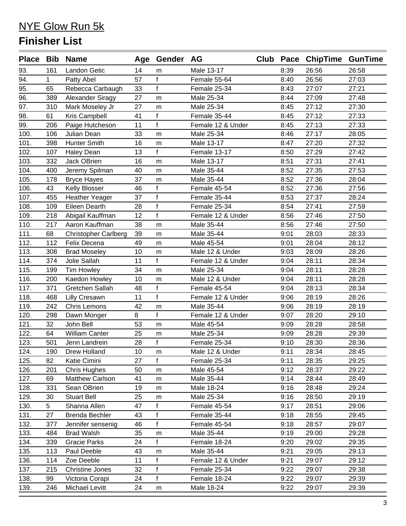|      |     | Place Bib Name              |    | Age Gender AG |                   |      | Club Pace ChipTime GunTime |       |
|------|-----|-----------------------------|----|---------------|-------------------|------|----------------------------|-------|
| 93.  | 161 | <b>Landon Getic</b>         | 14 | m             | Male 13-17        | 8:39 | 26:56                      | 26:58 |
| 94.  | 1.  | Patty Abel                  | 57 | $\mathbf{f}$  | Female 55-64      | 8:40 | 26:56                      | 27:03 |
| 95.  | 65  | Rebecca Carbaugh            | 33 | $\mathsf{f}$  | Female 25-34      | 8:43 | 27:07                      | 27:21 |
| 96.  | 389 | Alexander Siragy            | 27 | m             | Male 25-34        | 8:44 | 27:09                      | 27:48 |
| 97.  | 310 | Mark Moseley Jr             | 27 | m             | Male 25-34        | 8:45 | 27:12                      | 27:30 |
| 98.  | 61  | Kris Campbell               | 41 | $\mathbf{f}$  | Female 35-44      | 8:45 | 27:12                      | 27:33 |
| 99.  | 206 | Paige Hutcheson             | 11 | $\mathbf{f}$  | Female 12 & Under | 8:45 | 27:13                      | 27:33 |
| 100. | 106 | Julian Dean                 | 33 | m             | Male 25-34        | 8:46 | 27:17                      | 28:05 |
| 101. | 398 | <b>Hunter Smith</b>         | 16 | m             | Male 13-17        | 8:47 | 27:20                      | 27:32 |
| 102. | 107 | <b>Haley Dean</b>           | 13 | $\mathsf{f}$  | Female 13-17      | 8:50 | 27:29                      | 27:42 |
| 103. | 332 | Jack OBrien                 | 16 | m             | Male 13-17        | 8:51 | 27:31                      | 27:41 |
| 104. | 400 | Jeremy Spilman              | 40 | m             | Male 35-44        | 8:52 | 27:35                      | 27:53 |
| 105. | 178 | <b>Bryce Hayes</b>          | 37 | m             | Male 35-44        | 8:52 | 27:36                      | 28:04 |
| 106. | 43  | Kelly Blosser               | 46 | $\mathsf f$   | Female 45-54      | 8:52 | 27:36                      | 27:56 |
| 107. | 455 | <b>Heather Yeager</b>       | 37 | $\mathsf{f}$  | Female 35-44      | 8:53 | 27:37                      | 28:24 |
| 108. | 109 | <b>Eileen Dearth</b>        | 28 | $\mathbf{f}$  | Female 25-34      | 8:54 | 27:41                      | 27:59 |
| 109. | 218 | Abigail Kauffman            | 12 | $\mathbf f$   | Female 12 & Under | 8:56 | 27:46                      | 27:50 |
| 110. | 217 | Aaron Kauffman              | 38 | m             | Male 35-44        | 8:56 | 27:46                      | 27:50 |
| 111. | 68  | <b>Christopher Carlberg</b> | 39 | m             | Male 35-44        | 9:01 | 28:03                      | 28:33 |
| 112. | 112 | Felix Decena                | 49 | m             | Male 45-54        | 9:01 | 28:04                      | 28:12 |
| 113. | 308 | <b>Brad Moseley</b>         | 10 | m             | Male 12 & Under   | 9:03 | 28:09                      | 28:26 |
| 114. | 374 | Jolie Sallah                | 11 | $\mathbf f$   | Female 12 & Under | 9:04 | 28:11                      | 28:34 |
| 115. | 199 | Tim Howley                  | 34 | m             | Male 25-34        | 9:04 | 28:11                      | 28:28 |
| 116. | 200 | Kaedon Howley               | 10 | m             | Male 12 & Under   | 9:04 | 28:11                      | 28:28 |
| 117. | 371 | Gretchen Sallah             | 48 | $\mathsf f$   | Female 45-54      | 9:04 | 28:13                      | 28:34 |
| 118. | 468 | <b>Lilly Cresawn</b>        | 11 | $\mathbf{f}$  | Female 12 & Under | 9:06 | 28:19                      | 28:26 |
| 119. | 242 | Chris Lemons                | 42 | m             | Male 35-44        | 9:06 | 28:19                      | 28:19 |
| 120. | 298 | Dawn Monger                 | 8  | $\mathbf f$   | Female 12 & Under | 9:07 | 28:20                      | 29:10 |
| 121. | 32  | John Bell                   | 53 | m             | Male 45-54        | 9:09 | 28:28                      | 28:58 |
| 122. | 64  | William Canter              | 25 | m             | Male 25-34        | 9:09 | 28:28                      | 29:39 |
| 123. | 501 | Jenn Landrein               | 28 | $\mathbf f$   | Female 25-34      | 9:10 | 28:30                      | 28:36 |
| 124. | 190 | Drew Holland                | 10 | m             | Male 12 & Under   | 9:11 | 28:34                      | 28:45 |
| 125. | 82  | Katie Cimini                | 27 | f             | Female 25-34      | 9:11 | 28:35                      | 29:25 |
| 126. | 201 | <b>Chris Hughes</b>         | 50 | m             | Male 45-54        | 9:12 | 28:37                      | 29:22 |
| 127. | 69  | <b>Matthew Carlson</b>      | 41 | m             | Male 35-44        | 9:14 | 28:44                      | 28:49 |
| 128. | 331 | Sean OBrien                 | 19 | m             | Male 18-24        | 9:16 | 28:48                      | 29:24 |
| 129. | 30  | <b>Stuart Bell</b>          | 25 | m             | Male 25-34        | 9:16 | 28:50                      | 29:19 |
| 130. | 5   | Shanna Allen                | 47 | f             | Female 45-54      | 9:17 | 28:51                      | 29:06 |
| 131. | 27  | <b>Brenda Bechler</b>       | 43 | $\mathsf{f}$  | Female 35-44      | 9:18 | 28:55                      | 29:45 |
| 132. | 377 | Jennifer sensenig           | 46 | f             | Female 45-54      | 9:18 | 28:57                      | 29:07 |
| 133. | 484 | <b>Brad Walsh</b>           | 35 | m             | Male 35-44        | 9:19 | 29:00                      | 29:28 |
| 134. | 339 | <b>Gracie Parks</b>         | 24 | f             | Female 18-24      | 9:20 | 29:02                      | 29:35 |
| 135. | 113 | Paul Deeble                 | 43 | m             | Male 35-44        | 9:21 | 29:05                      | 29:13 |
| 136. | 114 | Zoe Deeble                  | 11 | $\mathbf f$   | Female 12 & Under | 9:21 | 29:07                      | 29:12 |
| 137. | 215 | <b>Christine Jones</b>      | 32 | $\mathsf f$   | Female 25-34      | 9:22 | 29:07                      | 29:38 |
| 138. | 99  | Victoria Corapi             | 24 | f             | Female 18-24      | 9:22 | 29:07                      | 29:39 |
| 139. | 246 | Michael Levitt              | 24 | m             | Male 18-24        | 9:22 | 29:07                      | 29:39 |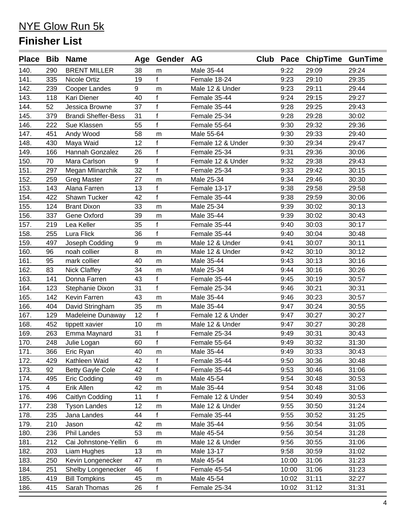|              |                       | Place Bib Name                     |          | Age Gender AG  |                                 |              | Club Pace ChipTime GunTime |                |
|--------------|-----------------------|------------------------------------|----------|----------------|---------------------------------|--------------|----------------------------|----------------|
| 140.         | 290                   | <b>BRENT MILLER</b>                | 38       | m              | Male 35-44                      | 9:22         | 29:09                      | 29:24          |
| 141.         | 335                   | Nicole Ortiz                       | 19       | $\mathbf{f}$   | Female 18-24                    | 9:23         | 29:10                      | 29:35          |
| 142.         | 239                   | Cooper Landes                      | 9        | m              | Male 12 & Under                 | 9:23         | 29:11                      | 29:44          |
| 143.         | 118                   | Kari Diener                        | 40       | f              | Female 35-44                    | 9:24         | 29:15                      | 29:27          |
| 144.         | 52                    | Jessica Browne                     | 37       | $\mathbf f$    | Female 35-44                    | 9:28         | 29:25                      | 29:43          |
| 145.         | 379                   | <b>Brandi Sheffer-Bess</b>         | 31       | $\mathbf f$    | Female 25-34                    | 9:28         | 29:28                      | 30:02          |
| 146.         | 222                   | Sue Klassen                        | 55       | f              | Female 55-64                    | 9:30         | 29:32                      | 29:36          |
| 147.         | 451                   | Andy Wood                          | 58       | m              | Male 55-64                      | 9:30         | 29:33                      | 29:40          |
| 148.         | 430                   | Maya Waid                          | 12       | f              | Female 12 & Under               | 9:30         | 29:34                      | 29:47          |
| 149.         | 166                   | Hannah Gonzalez                    | 26       | $\mathbf f$    | Female 25-34                    | 9:31         | 29:36                      | 30:06          |
| 150.         | 70                    | Mara Carlson                       | 9        | f              | Female 12 & Under               | 9:32         | 29:38                      | 29:43          |
| 151.         | 297                   | Megan Mlinarchik                   | 32       | $\overline{f}$ | Female 25-34                    | 9:33         | 29:42                      | 30:15          |
| 152.         | 259                   | <b>Greg Master</b>                 | 27       | m              | Male 25-34                      | 9:34         | 29:46                      | 30:30          |
| 153.         | 143                   | Alana Farren                       | 13       | f              | Female 13-17                    | 9:38         | 29:58                      | 29:58          |
| 154.         | 422                   | Shawn Tucker                       | 42       | f              | Female 35-44                    | 9:38         | 29:59                      | 30:06          |
| 155.         | 124                   | <b>Brant Dixon</b>                 | 33       | m              | Male 25-34                      | 9:39         | 30:02                      | 30:13          |
| 156.         | 337                   | Gene Oxford                        | 39       | m              | Male 35-44                      | 9:39         | 30:02                      | 30:43          |
| 157.         | 219                   | Lea Keller                         | 35       | f              | Female 35-44                    | 9:40         | 30:03                      | 30:17          |
| 158.         | 255                   | Lura Flick                         | 36       | $\mathbf{f}$   | Female 35-44                    | 9:40         | 30:04                      | 30:48          |
| 159.         | 497                   | Joseph Codding                     | 9        | m              | Male 12 & Under                 | 9:41         | 30:07                      | 30:11          |
| 160.         | 96                    | noah collier                       | 8        | m              | Male 12 & Under                 | 9:42         | 30:10                      | 30:12          |
| 161.         | 95                    | mark collier                       | 40       | m              | Male 35-44                      | 9:43         | 30:13                      | 30:16          |
| 162.         | 83                    | Nick Claffey                       | 34       | m              | Male 25-34                      | 9:44         | 30:16                      | 30:26          |
| 163.         | 141                   | Donna Farren                       | 43       | f              | Female 35-44                    | 9:45         | 30:19                      | 30:57          |
| 164.         | 123                   | Stephanie Dixon                    | 31       | $\mathsf{f}$   | Female 25-34                    | 9:46         | 30:21                      | 30:31          |
| 165.         | 142                   | Kevin Farren                       | 43       | m              | Male 35-44                      | 9:46         | 30:23                      | 30:57          |
| 166.         | 404                   | David Stringham                    | 35       | m              | Male 35-44                      | 9:47         | 30:24                      | 30:55          |
| 167.         | 129                   | Madeleine Dunaway                  | 12       | $\mathbf{f}$   | Female 12 & Under               | 9:47         | 30:27                      | 30:27          |
| 168.         | 452                   | tippett xavier                     | 10       | m              | Male 12 & Under                 | 9:47         | 30:27                      | 30:28          |
| 169.         | 263                   | Emma Maynard                       | 31       | f              | Female 25-34                    | 9:49         | 30:31                      | 30:43          |
| 170.         | 248                   | Julie Logan                        | 60       | $\mathbf f$    | Female 55-64                    | 9:49         | 30:32                      | 31:30          |
| 171.         | 366                   | Eric Ryan                          | 40       | m              | Male 35-44                      | 9:49         | 30:33                      | 30:43          |
| 172.         | 429                   | Kathleen Waid                      | 42       | f              | Female 35-44                    | 9:50         | 30:36                      | 30:48          |
| 173.         | 92                    | <b>Betty Gayle Cole</b>            | 42       | $\mathbf{f}$   | Female 35-44                    | 9:53         | 30:46                      | 31:06          |
| 174.         | 495                   | Eric Codding                       | 49       | m              | Male 45-54                      | 9:54         | 30:48                      | 30:53          |
| 175.<br>176. | $\overline{4}$<br>496 | Erik Allen<br>Caitlyn Codding      | 42<br>11 | ${\sf m}$<br>f | Male 35-44<br>Female 12 & Under | 9:54<br>9:54 | 30:48<br>30:49             | 31:06<br>30:53 |
|              |                       |                                    |          |                |                                 |              | 30:50                      | 31:24          |
| 177.<br>178. | 238<br>235            | <b>Tyson Landes</b><br>Jana Landes | 12<br>44 | m<br>f         | Male 12 & Under<br>Female 35-44 | 9:55<br>9:55 | 30:52                      | 31:25          |
| 179.         | 210                   | Jason                              | 42       |                | Male 35-44                      | 9:56         | 30:54                      | 31:05          |
| 180.         | 236                   | Phil Landes                        | 53       | m              | Male 45-54                      | 9:56         | 30:54                      | 31:28          |
| 181.         | 212                   | Cai Johnstone-Yellin               | 6        | m<br>m         | Male 12 & Under                 | 9:56         | 30:55                      | 31:06          |
| 182.         | 203                   | Liam Hughes                        | 13       | m              | Male 13-17                      | 9:58         | 30:59                      | 31:02          |
| 183.         | 250                   | Kevin Longenecker                  | 47       | m              | Male 45-54                      | 10:00        | 31:06                      | 31:23          |
| 184.         | 251                   | Shelby Longenecker                 | 46       | f              | Female 45-54                    | 10:00        | 31:06                      | 31:23          |
| 185.         | 419                   | <b>Bill Tompkins</b>               | 45       | ${\sf m}$      | Male 45-54                      | 10:02        | 31:11                      | 32:27          |
| 186.         | 415                   | Sarah Thomas                       | 26       | f              | Female 25-34                    | 10:02        | 31:12                      | 31:31          |
|              |                       |                                    |          |                |                                 |              |                            |                |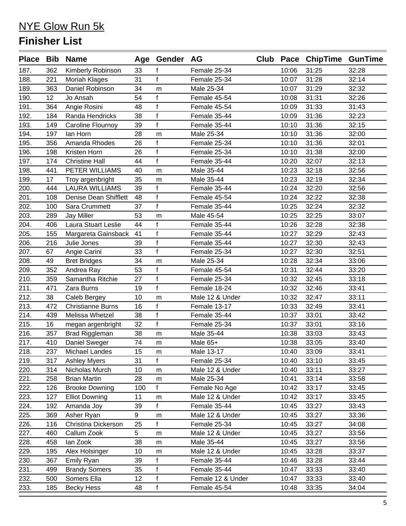|      |     | Place Bib Name           |     | Age Gender AG |                   |       | Club Pace ChipTime GunTime |       |
|------|-----|--------------------------|-----|---------------|-------------------|-------|----------------------------|-------|
| 187. | 362 | Kimberly Robinson        | 33  | f             | Female 25-34      | 10:06 | 31:25                      | 32:28 |
| 188. | 221 | Moriah Klages            | 31  | $\mathbf f$   | Female 25-34      | 10:07 | 31:28                      | 32:14 |
| 189. | 363 | Daniel Robinson          | 34  | m             | Male 25-34        | 10:07 | 31:29                      | 32:32 |
| 190. | 12  | Jo Ansah                 | 54  | f             | Female 45-54      | 10:08 | 31:31                      | 32:26 |
| 191. | 364 | Angie Rosini             | 48  | $\mathsf{f}$  | Female 45-54      | 10:09 | 31:33                      | 31:43 |
| 192. | 184 | Randa Hendricks          | 38  | $\mathbf f$   | Female 35-44      | 10:09 | 31:36                      | 32:23 |
| 193. | 149 | Caroline Flournoy        | 39  | f             | Female 35-44      | 10:10 | 31:36                      | 32:15 |
| 194. | 197 | lan Horn                 | 28  | m             | Male 25-34        | 10:10 | 31:36                      | 32:00 |
| 195. | 356 | Amanda Rhodes            | 26  | f             | Female 25-34      | 10:10 | 31:36                      | 32:01 |
| 196. | 198 | Kristen Horn             | 26  | $\mathsf{f}$  | Female 25-34      | 10:10 | 31:38                      | 32:00 |
| 197. | 174 | <b>Christine Hall</b>    | 44  | f             | Female 35-44      | 10:20 | 32:07                      | 32:13 |
| 198. | 441 | PETER WILLIAMS           | 40  | m             | Male 35-44        | 10:23 | 32:18                      | 32:56 |
| 199. | 17  | Troy argenbright         | 35  | m             | Male 35-44        | 10:23 | 32:19                      | 32:34 |
| 200. | 444 | <b>LAURA WILLIAMS</b>    | 39  | f             | Female 35-44      | 10:24 | 32:20                      | 32:56 |
| 201. | 108 | Denise Dean Shifflett    | 48  | f             | Female 45-54      | 10:24 | 32:22                      | 32:38 |
| 202. | 100 | Sara Crummett            | 37  | $\mathbf{f}$  | Female 35-44      | 10:25 | 32:24                      | 32:32 |
| 203. | 289 | <b>Jay Miller</b>        | 53  | m             | Male 45-54        | 10:25 | 32:25                      | 33:07 |
| 204. | 406 | Laura Stuart Leslie      | 44  | f             | Female 35-44      | 10:26 | 32:28                      | 32:38 |
| 205. | 155 | Margareta Gainsback      | 41  | f             | Female 35-44      | 10:27 | 32:29                      | 32:43 |
| 206. | 216 | Julie Jones              | 39  | $\mathbf{f}$  | Female 35-44      | 10:27 | 32:30                      | 32:43 |
| 207. | 67  | Angie Carini             | 33  | $\mathbf{f}$  | Female 25-34      | 10:27 | 32:30                      | 32:51 |
| 208. | 49  | <b>Bret Bridges</b>      | 34  | m             | Male 25-34        | 10:28 | 32:34                      | 33:06 |
| 209. | 352 | Andrea Ray               | 53  | f             | Female 45-54      | 10:31 | 32:44                      | 33:20 |
| 210. | 359 | Samantha Ritchie         | 27  | $\mathsf{f}$  | Female 25-34      | 10:32 | 32:45                      | 33:18 |
| 211. | 471 | Zara Burns               | 19  | f             | Female 18-24      | 10:32 | 32:46                      | 33:41 |
| 212. | 38  | Caleb Bergey             | 10  | m             | Male 12 & Under   | 10:32 | 32:47                      | 33:11 |
| 213. | 472 | <b>Christianne Burns</b> | 16  | f             | Female 13-17      | 10:33 | 32:49                      | 33:41 |
| 214. | 439 | Melissa Whetzel          | 38  | $\mathsf{f}$  | Female 35-44      | 10:37 | 33:01                      | 33:42 |
| 215. | 16  | megan argenbright        | 32  | f             | Female 25-34      | 10:37 | 33:01                      | 33:16 |
| 216. | 357 | <b>Brad Riggleman</b>    | 38  | m             | Male 35-44        | 10:38 | 33:03                      | 33:43 |
| 217. | 410 | Daniel Sweger            | 74  | m             | Male 65+          | 10:38 | 33:05                      | 33:40 |
| 218. | 237 | Michael Landes           | 15  | ${\sf m}$     | Male 13-17        | 10:40 | 33:09                      | 33:41 |
| 219. | 317 | <b>Ashley Myers</b>      | 31  | f             | Female 25-34      | 10:40 | 33:10                      | 33:45 |
| 220. | 314 | Nicholas Murch           | 10  | m             | Male 12 & Under   | 10:40 | 33:11                      | 33:27 |
| 221. | 258 | <b>Brian Martin</b>      | 28  | m             | Male 25-34        | 10:41 | 33:14                      | 33:58 |
| 222. | 126 | <b>Brooke Downing</b>    | 100 | f             | Female No Age     | 10:42 | 33:17                      | 33:45 |
| 223. | 127 | <b>Elliot Downing</b>    | 11  | m             | Male 12 & Under   | 10:42 | 33:17                      | 33:45 |
| 224. | 192 | Amanda Joy               | 39  | f             | Female 35-44      | 10:45 | 33:27                      | 33:43 |
| 225. | 369 | Asher Ryan               | 9   | ${\sf m}$     | Male 12 & Under   | 10:45 | 33:27                      | 33:36 |
| 226. | 116 | Christina Dickerson      | 25  | f             | Female 25-34      | 10:45 | 33:27                      | 34:08 |
| 227. | 460 | Callum Zook              | 5   | m             | Male 12 & Under   | 10:45 | 33:27                      | 33:56 |
| 228. | 458 | lan Zook                 | 38  | m             | Male 35-44        | 10:45 | 33:27                      | 33:56 |
| 229. | 195 | Alex Holsinger           | 10  | m             | Male 12 & Under   | 10:45 | 33:28                      | 33:37 |
| 230. | 367 | Emily Ryan               | 39  | f             | Female 35-44      | 10:46 | 33:28                      | 33:44 |
| 231. | 499 | <b>Brandy Somers</b>     | 35  | f             | Female 35-44      | 10:47 | 33:33                      | 33:40 |
| 232. | 500 | Somers Ella              | 12  | $\mathsf{f}$  | Female 12 & Under | 10:47 | 33:33                      | 33:40 |
| 233. | 185 | <b>Becky Hess</b>        | 48  | f             | Female 45-54      | 10:48 | 33:35                      | 34:04 |
|      |     |                          |     |               |                   |       |                            |       |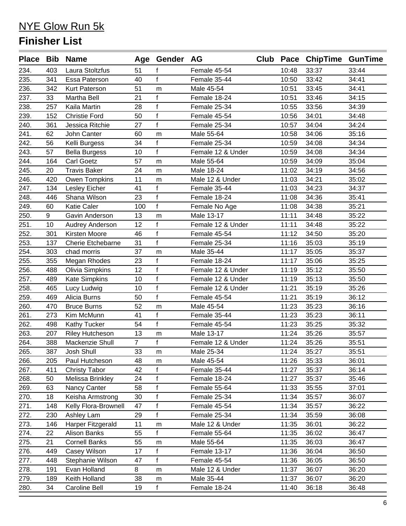| 234.<br>403<br>Laura Stoltzfus<br>10:48<br>33:37<br>33:44<br>f<br>Female 45-54<br>51<br>f<br>235.<br>40<br>Female 35-44<br>10:50<br>33:42<br>34:41<br>341<br>Essa Paterson<br>236.<br>33:45<br>51<br>Male 45-54<br>34:41<br>342<br>Kurt Paterson<br>10:51<br>m<br>$\mathbf f$<br>237.<br>21<br>33:46<br>33<br>Martha Bell<br>Female 18-24<br>10:51<br>34:15<br>$\mathsf f$<br>238.<br>Female 25-34<br>33:56<br>257<br>Kaila Martin<br>28<br>10:55<br>34:39<br>$\mathsf{f}$<br>239.<br>34:01<br>34:48<br>152<br><b>Christie Ford</b><br>50<br>Female 45-54<br>10:56<br>$\mathsf{f}$<br>34:04<br>240.<br>Jessica Ritchie<br>27<br>Female 25-34<br>10:57<br>34:24<br>361<br>241.<br>62<br>John Canter<br>Male 55-64<br>34:06<br>35:16<br>60<br>10:58<br>m<br>242.<br>f<br>Kelli Burgess<br>34<br>Female 25-34<br>10:59<br>34:08<br>34:34<br>56<br>$\mathsf{f}$<br>243.<br>57<br>34:08<br>10<br>Female 12 & Under<br>10:59<br>34:34<br><b>Bella Burgess</b><br>244.<br>34:09<br>164<br><b>Carl Goetz</b><br>57<br>Male 55-64<br>10:59<br>35:04<br>m<br>245.<br>24<br>34:19<br>34:56<br>20<br><b>Travis Baker</b><br>Male 18-24<br>11:02<br>m<br>246.<br>Owen Tompkins<br>11<br>34:21<br>35:02<br>420<br>Male 12 & Under<br>11:03<br>m<br>$\mathbf{f}$<br>247.<br>34:23<br>41<br>Female 35-44<br>34:37<br>134<br>Lesley Eicher<br>11:03<br>$\mathsf{f}$<br>248.<br>23<br>34:36<br>446<br>Shana Wilson<br>Female 18-24<br>11:08<br>35:41<br>$\mathbf{f}$<br>249.<br><b>Katie Caler</b><br>100<br>34:38<br>35:21<br>60<br>Female No Age<br>11:08<br>250.<br>9<br>13<br>Male 13-17<br>34:48<br>35:22<br>Gavin Anderson<br>11:11<br>m<br>$\mathsf{f}$<br>251.<br>34:48<br>10<br>12<br>Female 12 & Under<br>11:11<br>35:22<br>Audrey Anderson<br>$\mathsf{f}$<br>252.<br>Kirsten Moore<br>46<br>Female 45-54<br>11:12<br>34:50<br>35:20<br>301<br>$\mathbf{f}$<br>253.<br><b>Cherie Etchebarne</b><br>31<br>Female 25-34<br>11:16<br>35:03<br>35:19<br>137<br>254.<br>37<br>35:05<br>Male 35-44<br>11:17<br>35:37<br>303<br>chad morris<br>m<br>$\mathbf{f}$<br>255.<br>23<br>Female 18-24<br>35:06<br>355<br>11:17<br>35:25<br>Megan Rhodes<br>$\mathsf{f}$<br>256.<br><b>Olivia Simpkins</b><br>12<br>Female 12 & Under<br>35:12<br>488<br>11:19<br>35:50<br>$\mathbf f$<br>257.<br>Kate Simpkins<br>10<br>Female 12 & Under<br>35:13<br>489<br>11:19<br>35:50<br>$\mathsf{f}$<br>35:19<br>258.<br>10<br>11:21<br>35:26<br>465<br>Lucy Ludwig<br>Female 12 & Under<br>$\mathbf f$<br>259.<br>35:19<br>469<br>Alicia Burns<br>50<br>Female 45-54<br>11:21<br>36:12<br>260.<br><b>Bruce Burns</b><br>52<br>11:23<br>35:23<br>36:16<br>470<br>Male 45-54<br>m<br>$\mathsf f$<br>261.<br>Female 35-44<br>11:23<br>35:23<br>36:11<br>273<br>Kim McMunn<br>41<br>$\mathbf{f}$<br>262.<br>35:25<br>54<br>Female 45-54<br>11:23<br>35:32<br>498<br><b>Kathy Tucker</b><br>263.<br>13<br>Male 13-17<br>11:24<br>35:26<br>35:57<br>207<br><b>Riley Hutcheson</b><br>m<br>$\mathbf{f}$<br>264.<br>Mackenzie Shull<br>$\overline{7}$<br>11:24<br>35:26<br>388<br>Female 12 & Under<br>35:51<br>265.<br>33<br>387<br>Male 25-34<br>11:24<br>35:27<br>35:51<br>Josh Shull<br>${\sf m}$<br>266.<br>Male 45-54<br>11:26<br>35:33<br>205<br>Paul Hutcheson<br>48<br>36:01<br>m<br>267.<br><b>Christy Tabor</b><br>42<br>f<br>Female 35-44<br>11:27<br>35:37<br>36:14<br>411<br>$\mathsf{f}$<br>268.<br>Melissa Brinkley<br>24<br>11:27<br>35:37<br>35:46<br>50<br>Female 18-24<br>$\mathsf f$<br>269.<br>Nancy Canter<br>58<br>35:55<br>63<br>Female 55-64<br>11:33<br>37:01<br>$\mathsf f$<br>Keisha Armstrong<br>30<br>Female 25-34<br>11:34<br>35:57<br>270.<br>18<br>36:07<br>$\mathsf{f}$<br>271.<br>Kelly Flora-Brownell<br>47<br>Female 45-54<br>148<br>11:34<br>35:57<br>36:22<br>$\mathsf{f}$<br>272.<br>29<br>Female 25-34<br>11:34<br>35:59<br>36:08<br>230<br>Ashley Lam<br>Harper Fitzgerald<br>273.<br>11<br>Male 12 & Under<br>11:35<br>36:01<br>36:22<br>146<br>m<br>f<br>Alison Banks<br>36:02<br>274.<br>22<br>55<br>Female 55-64<br>11:35<br>36:47<br><b>Cornell Banks</b><br>36:03<br>36:47<br>275.<br>21<br>55<br>Male 55-64<br>11:35<br>${\sf m}$<br>$\mathsf f$<br>17<br>36:04<br>36:50<br>276.<br>449<br>Casey Wilson<br>Female 13-17<br>11:36<br>$\mathsf{f}$<br>277.<br>Stephanie Wilson<br>47<br>Female 45-54<br>11:36<br>36:05<br>448<br>36:50<br>278.<br>Evan Holland<br>8<br>Male 12 & Under<br>11:37<br>36:07<br>36:20<br>191<br>m<br>Keith Holland<br>279.<br>38<br>Male 35-44<br>11:37<br>36:07<br>36:20<br>189<br>m<br>$\mathsf f$<br>Caroline Bell<br>Female 18-24<br>280.<br>34<br>19<br>11:40<br>36:18<br>36:48 |  | Place Bib Name | Age Gender AG | Club | Pace ChipTime GunTime |  |
|-----------------------------------------------------------------------------------------------------------------------------------------------------------------------------------------------------------------------------------------------------------------------------------------------------------------------------------------------------------------------------------------------------------------------------------------------------------------------------------------------------------------------------------------------------------------------------------------------------------------------------------------------------------------------------------------------------------------------------------------------------------------------------------------------------------------------------------------------------------------------------------------------------------------------------------------------------------------------------------------------------------------------------------------------------------------------------------------------------------------------------------------------------------------------------------------------------------------------------------------------------------------------------------------------------------------------------------------------------------------------------------------------------------------------------------------------------------------------------------------------------------------------------------------------------------------------------------------------------------------------------------------------------------------------------------------------------------------------------------------------------------------------------------------------------------------------------------------------------------------------------------------------------------------------------------------------------------------------------------------------------------------------------------------------------------------------------------------------------------------------------------------------------------------------------------------------------------------------------------------------------------------------------------------------------------------------------------------------------------------------------------------------------------------------------------------------------------------------------------------------------------------------------------------------------------------------------------------------------------------------------------------------------------------------------------------------------------------------------------------------------------------------------------------------------------------------------------------------------------------------------------------------------------------------------------------------------------------------------------------------------------------------------------------------------------------------------------------------------------------------------------------------------------------------------------------------------------------------------------------------------------------------------------------------------------------------------------------------------------------------------------------------------------------------------------------------------------------------------------------------------------------------------------------------------------------------------------------------------------------------------------------------------------------------------------------------------------------------------------------------------------------------------------------------------------------------------------------------------------------------------------------------------------------------------------------------------------------------------------------------------------------------------------------------------------------------------------------------------------------------------------------------------------------------------------------------------------------------------------------------------------------------------------------------------------------------------------------------------------------------------------------------------------------------------------------------------------------------------------------------------------------------------------------------------------------------------------------------------------------------------|--|----------------|---------------|------|-----------------------|--|
|                                                                                                                                                                                                                                                                                                                                                                                                                                                                                                                                                                                                                                                                                                                                                                                                                                                                                                                                                                                                                                                                                                                                                                                                                                                                                                                                                                                                                                                                                                                                                                                                                                                                                                                                                                                                                                                                                                                                                                                                                                                                                                                                                                                                                                                                                                                                                                                                                                                                                                                                                                                                                                                                                                                                                                                                                                                                                                                                                                                                                                                                                                                                                                                                                                                                                                                                                                                                                                                                                                                                                                                                                                                                                                                                                                                                                                                                                                                                                                                                                                                                                                                                                                                                                                                                                                                                                                                                                                                                                                                                                                                                                             |  |                |               |      |                       |  |
|                                                                                                                                                                                                                                                                                                                                                                                                                                                                                                                                                                                                                                                                                                                                                                                                                                                                                                                                                                                                                                                                                                                                                                                                                                                                                                                                                                                                                                                                                                                                                                                                                                                                                                                                                                                                                                                                                                                                                                                                                                                                                                                                                                                                                                                                                                                                                                                                                                                                                                                                                                                                                                                                                                                                                                                                                                                                                                                                                                                                                                                                                                                                                                                                                                                                                                                                                                                                                                                                                                                                                                                                                                                                                                                                                                                                                                                                                                                                                                                                                                                                                                                                                                                                                                                                                                                                                                                                                                                                                                                                                                                                                             |  |                |               |      |                       |  |
|                                                                                                                                                                                                                                                                                                                                                                                                                                                                                                                                                                                                                                                                                                                                                                                                                                                                                                                                                                                                                                                                                                                                                                                                                                                                                                                                                                                                                                                                                                                                                                                                                                                                                                                                                                                                                                                                                                                                                                                                                                                                                                                                                                                                                                                                                                                                                                                                                                                                                                                                                                                                                                                                                                                                                                                                                                                                                                                                                                                                                                                                                                                                                                                                                                                                                                                                                                                                                                                                                                                                                                                                                                                                                                                                                                                                                                                                                                                                                                                                                                                                                                                                                                                                                                                                                                                                                                                                                                                                                                                                                                                                                             |  |                |               |      |                       |  |
|                                                                                                                                                                                                                                                                                                                                                                                                                                                                                                                                                                                                                                                                                                                                                                                                                                                                                                                                                                                                                                                                                                                                                                                                                                                                                                                                                                                                                                                                                                                                                                                                                                                                                                                                                                                                                                                                                                                                                                                                                                                                                                                                                                                                                                                                                                                                                                                                                                                                                                                                                                                                                                                                                                                                                                                                                                                                                                                                                                                                                                                                                                                                                                                                                                                                                                                                                                                                                                                                                                                                                                                                                                                                                                                                                                                                                                                                                                                                                                                                                                                                                                                                                                                                                                                                                                                                                                                                                                                                                                                                                                                                                             |  |                |               |      |                       |  |
|                                                                                                                                                                                                                                                                                                                                                                                                                                                                                                                                                                                                                                                                                                                                                                                                                                                                                                                                                                                                                                                                                                                                                                                                                                                                                                                                                                                                                                                                                                                                                                                                                                                                                                                                                                                                                                                                                                                                                                                                                                                                                                                                                                                                                                                                                                                                                                                                                                                                                                                                                                                                                                                                                                                                                                                                                                                                                                                                                                                                                                                                                                                                                                                                                                                                                                                                                                                                                                                                                                                                                                                                                                                                                                                                                                                                                                                                                                                                                                                                                                                                                                                                                                                                                                                                                                                                                                                                                                                                                                                                                                                                                             |  |                |               |      |                       |  |
|                                                                                                                                                                                                                                                                                                                                                                                                                                                                                                                                                                                                                                                                                                                                                                                                                                                                                                                                                                                                                                                                                                                                                                                                                                                                                                                                                                                                                                                                                                                                                                                                                                                                                                                                                                                                                                                                                                                                                                                                                                                                                                                                                                                                                                                                                                                                                                                                                                                                                                                                                                                                                                                                                                                                                                                                                                                                                                                                                                                                                                                                                                                                                                                                                                                                                                                                                                                                                                                                                                                                                                                                                                                                                                                                                                                                                                                                                                                                                                                                                                                                                                                                                                                                                                                                                                                                                                                                                                                                                                                                                                                                                             |  |                |               |      |                       |  |
|                                                                                                                                                                                                                                                                                                                                                                                                                                                                                                                                                                                                                                                                                                                                                                                                                                                                                                                                                                                                                                                                                                                                                                                                                                                                                                                                                                                                                                                                                                                                                                                                                                                                                                                                                                                                                                                                                                                                                                                                                                                                                                                                                                                                                                                                                                                                                                                                                                                                                                                                                                                                                                                                                                                                                                                                                                                                                                                                                                                                                                                                                                                                                                                                                                                                                                                                                                                                                                                                                                                                                                                                                                                                                                                                                                                                                                                                                                                                                                                                                                                                                                                                                                                                                                                                                                                                                                                                                                                                                                                                                                                                                             |  |                |               |      |                       |  |
|                                                                                                                                                                                                                                                                                                                                                                                                                                                                                                                                                                                                                                                                                                                                                                                                                                                                                                                                                                                                                                                                                                                                                                                                                                                                                                                                                                                                                                                                                                                                                                                                                                                                                                                                                                                                                                                                                                                                                                                                                                                                                                                                                                                                                                                                                                                                                                                                                                                                                                                                                                                                                                                                                                                                                                                                                                                                                                                                                                                                                                                                                                                                                                                                                                                                                                                                                                                                                                                                                                                                                                                                                                                                                                                                                                                                                                                                                                                                                                                                                                                                                                                                                                                                                                                                                                                                                                                                                                                                                                                                                                                                                             |  |                |               |      |                       |  |
|                                                                                                                                                                                                                                                                                                                                                                                                                                                                                                                                                                                                                                                                                                                                                                                                                                                                                                                                                                                                                                                                                                                                                                                                                                                                                                                                                                                                                                                                                                                                                                                                                                                                                                                                                                                                                                                                                                                                                                                                                                                                                                                                                                                                                                                                                                                                                                                                                                                                                                                                                                                                                                                                                                                                                                                                                                                                                                                                                                                                                                                                                                                                                                                                                                                                                                                                                                                                                                                                                                                                                                                                                                                                                                                                                                                                                                                                                                                                                                                                                                                                                                                                                                                                                                                                                                                                                                                                                                                                                                                                                                                                                             |  |                |               |      |                       |  |
|                                                                                                                                                                                                                                                                                                                                                                                                                                                                                                                                                                                                                                                                                                                                                                                                                                                                                                                                                                                                                                                                                                                                                                                                                                                                                                                                                                                                                                                                                                                                                                                                                                                                                                                                                                                                                                                                                                                                                                                                                                                                                                                                                                                                                                                                                                                                                                                                                                                                                                                                                                                                                                                                                                                                                                                                                                                                                                                                                                                                                                                                                                                                                                                                                                                                                                                                                                                                                                                                                                                                                                                                                                                                                                                                                                                                                                                                                                                                                                                                                                                                                                                                                                                                                                                                                                                                                                                                                                                                                                                                                                                                                             |  |                |               |      |                       |  |
|                                                                                                                                                                                                                                                                                                                                                                                                                                                                                                                                                                                                                                                                                                                                                                                                                                                                                                                                                                                                                                                                                                                                                                                                                                                                                                                                                                                                                                                                                                                                                                                                                                                                                                                                                                                                                                                                                                                                                                                                                                                                                                                                                                                                                                                                                                                                                                                                                                                                                                                                                                                                                                                                                                                                                                                                                                                                                                                                                                                                                                                                                                                                                                                                                                                                                                                                                                                                                                                                                                                                                                                                                                                                                                                                                                                                                                                                                                                                                                                                                                                                                                                                                                                                                                                                                                                                                                                                                                                                                                                                                                                                                             |  |                |               |      |                       |  |
|                                                                                                                                                                                                                                                                                                                                                                                                                                                                                                                                                                                                                                                                                                                                                                                                                                                                                                                                                                                                                                                                                                                                                                                                                                                                                                                                                                                                                                                                                                                                                                                                                                                                                                                                                                                                                                                                                                                                                                                                                                                                                                                                                                                                                                                                                                                                                                                                                                                                                                                                                                                                                                                                                                                                                                                                                                                                                                                                                                                                                                                                                                                                                                                                                                                                                                                                                                                                                                                                                                                                                                                                                                                                                                                                                                                                                                                                                                                                                                                                                                                                                                                                                                                                                                                                                                                                                                                                                                                                                                                                                                                                                             |  |                |               |      |                       |  |
|                                                                                                                                                                                                                                                                                                                                                                                                                                                                                                                                                                                                                                                                                                                                                                                                                                                                                                                                                                                                                                                                                                                                                                                                                                                                                                                                                                                                                                                                                                                                                                                                                                                                                                                                                                                                                                                                                                                                                                                                                                                                                                                                                                                                                                                                                                                                                                                                                                                                                                                                                                                                                                                                                                                                                                                                                                                                                                                                                                                                                                                                                                                                                                                                                                                                                                                                                                                                                                                                                                                                                                                                                                                                                                                                                                                                                                                                                                                                                                                                                                                                                                                                                                                                                                                                                                                                                                                                                                                                                                                                                                                                                             |  |                |               |      |                       |  |
|                                                                                                                                                                                                                                                                                                                                                                                                                                                                                                                                                                                                                                                                                                                                                                                                                                                                                                                                                                                                                                                                                                                                                                                                                                                                                                                                                                                                                                                                                                                                                                                                                                                                                                                                                                                                                                                                                                                                                                                                                                                                                                                                                                                                                                                                                                                                                                                                                                                                                                                                                                                                                                                                                                                                                                                                                                                                                                                                                                                                                                                                                                                                                                                                                                                                                                                                                                                                                                                                                                                                                                                                                                                                                                                                                                                                                                                                                                                                                                                                                                                                                                                                                                                                                                                                                                                                                                                                                                                                                                                                                                                                                             |  |                |               |      |                       |  |
|                                                                                                                                                                                                                                                                                                                                                                                                                                                                                                                                                                                                                                                                                                                                                                                                                                                                                                                                                                                                                                                                                                                                                                                                                                                                                                                                                                                                                                                                                                                                                                                                                                                                                                                                                                                                                                                                                                                                                                                                                                                                                                                                                                                                                                                                                                                                                                                                                                                                                                                                                                                                                                                                                                                                                                                                                                                                                                                                                                                                                                                                                                                                                                                                                                                                                                                                                                                                                                                                                                                                                                                                                                                                                                                                                                                                                                                                                                                                                                                                                                                                                                                                                                                                                                                                                                                                                                                                                                                                                                                                                                                                                             |  |                |               |      |                       |  |
|                                                                                                                                                                                                                                                                                                                                                                                                                                                                                                                                                                                                                                                                                                                                                                                                                                                                                                                                                                                                                                                                                                                                                                                                                                                                                                                                                                                                                                                                                                                                                                                                                                                                                                                                                                                                                                                                                                                                                                                                                                                                                                                                                                                                                                                                                                                                                                                                                                                                                                                                                                                                                                                                                                                                                                                                                                                                                                                                                                                                                                                                                                                                                                                                                                                                                                                                                                                                                                                                                                                                                                                                                                                                                                                                                                                                                                                                                                                                                                                                                                                                                                                                                                                                                                                                                                                                                                                                                                                                                                                                                                                                                             |  |                |               |      |                       |  |
|                                                                                                                                                                                                                                                                                                                                                                                                                                                                                                                                                                                                                                                                                                                                                                                                                                                                                                                                                                                                                                                                                                                                                                                                                                                                                                                                                                                                                                                                                                                                                                                                                                                                                                                                                                                                                                                                                                                                                                                                                                                                                                                                                                                                                                                                                                                                                                                                                                                                                                                                                                                                                                                                                                                                                                                                                                                                                                                                                                                                                                                                                                                                                                                                                                                                                                                                                                                                                                                                                                                                                                                                                                                                                                                                                                                                                                                                                                                                                                                                                                                                                                                                                                                                                                                                                                                                                                                                                                                                                                                                                                                                                             |  |                |               |      |                       |  |
|                                                                                                                                                                                                                                                                                                                                                                                                                                                                                                                                                                                                                                                                                                                                                                                                                                                                                                                                                                                                                                                                                                                                                                                                                                                                                                                                                                                                                                                                                                                                                                                                                                                                                                                                                                                                                                                                                                                                                                                                                                                                                                                                                                                                                                                                                                                                                                                                                                                                                                                                                                                                                                                                                                                                                                                                                                                                                                                                                                                                                                                                                                                                                                                                                                                                                                                                                                                                                                                                                                                                                                                                                                                                                                                                                                                                                                                                                                                                                                                                                                                                                                                                                                                                                                                                                                                                                                                                                                                                                                                                                                                                                             |  |                |               |      |                       |  |
|                                                                                                                                                                                                                                                                                                                                                                                                                                                                                                                                                                                                                                                                                                                                                                                                                                                                                                                                                                                                                                                                                                                                                                                                                                                                                                                                                                                                                                                                                                                                                                                                                                                                                                                                                                                                                                                                                                                                                                                                                                                                                                                                                                                                                                                                                                                                                                                                                                                                                                                                                                                                                                                                                                                                                                                                                                                                                                                                                                                                                                                                                                                                                                                                                                                                                                                                                                                                                                                                                                                                                                                                                                                                                                                                                                                                                                                                                                                                                                                                                                                                                                                                                                                                                                                                                                                                                                                                                                                                                                                                                                                                                             |  |                |               |      |                       |  |
|                                                                                                                                                                                                                                                                                                                                                                                                                                                                                                                                                                                                                                                                                                                                                                                                                                                                                                                                                                                                                                                                                                                                                                                                                                                                                                                                                                                                                                                                                                                                                                                                                                                                                                                                                                                                                                                                                                                                                                                                                                                                                                                                                                                                                                                                                                                                                                                                                                                                                                                                                                                                                                                                                                                                                                                                                                                                                                                                                                                                                                                                                                                                                                                                                                                                                                                                                                                                                                                                                                                                                                                                                                                                                                                                                                                                                                                                                                                                                                                                                                                                                                                                                                                                                                                                                                                                                                                                                                                                                                                                                                                                                             |  |                |               |      |                       |  |
|                                                                                                                                                                                                                                                                                                                                                                                                                                                                                                                                                                                                                                                                                                                                                                                                                                                                                                                                                                                                                                                                                                                                                                                                                                                                                                                                                                                                                                                                                                                                                                                                                                                                                                                                                                                                                                                                                                                                                                                                                                                                                                                                                                                                                                                                                                                                                                                                                                                                                                                                                                                                                                                                                                                                                                                                                                                                                                                                                                                                                                                                                                                                                                                                                                                                                                                                                                                                                                                                                                                                                                                                                                                                                                                                                                                                                                                                                                                                                                                                                                                                                                                                                                                                                                                                                                                                                                                                                                                                                                                                                                                                                             |  |                |               |      |                       |  |
|                                                                                                                                                                                                                                                                                                                                                                                                                                                                                                                                                                                                                                                                                                                                                                                                                                                                                                                                                                                                                                                                                                                                                                                                                                                                                                                                                                                                                                                                                                                                                                                                                                                                                                                                                                                                                                                                                                                                                                                                                                                                                                                                                                                                                                                                                                                                                                                                                                                                                                                                                                                                                                                                                                                                                                                                                                                                                                                                                                                                                                                                                                                                                                                                                                                                                                                                                                                                                                                                                                                                                                                                                                                                                                                                                                                                                                                                                                                                                                                                                                                                                                                                                                                                                                                                                                                                                                                                                                                                                                                                                                                                                             |  |                |               |      |                       |  |
|                                                                                                                                                                                                                                                                                                                                                                                                                                                                                                                                                                                                                                                                                                                                                                                                                                                                                                                                                                                                                                                                                                                                                                                                                                                                                                                                                                                                                                                                                                                                                                                                                                                                                                                                                                                                                                                                                                                                                                                                                                                                                                                                                                                                                                                                                                                                                                                                                                                                                                                                                                                                                                                                                                                                                                                                                                                                                                                                                                                                                                                                                                                                                                                                                                                                                                                                                                                                                                                                                                                                                                                                                                                                                                                                                                                                                                                                                                                                                                                                                                                                                                                                                                                                                                                                                                                                                                                                                                                                                                                                                                                                                             |  |                |               |      |                       |  |
|                                                                                                                                                                                                                                                                                                                                                                                                                                                                                                                                                                                                                                                                                                                                                                                                                                                                                                                                                                                                                                                                                                                                                                                                                                                                                                                                                                                                                                                                                                                                                                                                                                                                                                                                                                                                                                                                                                                                                                                                                                                                                                                                                                                                                                                                                                                                                                                                                                                                                                                                                                                                                                                                                                                                                                                                                                                                                                                                                                                                                                                                                                                                                                                                                                                                                                                                                                                                                                                                                                                                                                                                                                                                                                                                                                                                                                                                                                                                                                                                                                                                                                                                                                                                                                                                                                                                                                                                                                                                                                                                                                                                                             |  |                |               |      |                       |  |
|                                                                                                                                                                                                                                                                                                                                                                                                                                                                                                                                                                                                                                                                                                                                                                                                                                                                                                                                                                                                                                                                                                                                                                                                                                                                                                                                                                                                                                                                                                                                                                                                                                                                                                                                                                                                                                                                                                                                                                                                                                                                                                                                                                                                                                                                                                                                                                                                                                                                                                                                                                                                                                                                                                                                                                                                                                                                                                                                                                                                                                                                                                                                                                                                                                                                                                                                                                                                                                                                                                                                                                                                                                                                                                                                                                                                                                                                                                                                                                                                                                                                                                                                                                                                                                                                                                                                                                                                                                                                                                                                                                                                                             |  |                |               |      |                       |  |
|                                                                                                                                                                                                                                                                                                                                                                                                                                                                                                                                                                                                                                                                                                                                                                                                                                                                                                                                                                                                                                                                                                                                                                                                                                                                                                                                                                                                                                                                                                                                                                                                                                                                                                                                                                                                                                                                                                                                                                                                                                                                                                                                                                                                                                                                                                                                                                                                                                                                                                                                                                                                                                                                                                                                                                                                                                                                                                                                                                                                                                                                                                                                                                                                                                                                                                                                                                                                                                                                                                                                                                                                                                                                                                                                                                                                                                                                                                                                                                                                                                                                                                                                                                                                                                                                                                                                                                                                                                                                                                                                                                                                                             |  |                |               |      |                       |  |
|                                                                                                                                                                                                                                                                                                                                                                                                                                                                                                                                                                                                                                                                                                                                                                                                                                                                                                                                                                                                                                                                                                                                                                                                                                                                                                                                                                                                                                                                                                                                                                                                                                                                                                                                                                                                                                                                                                                                                                                                                                                                                                                                                                                                                                                                                                                                                                                                                                                                                                                                                                                                                                                                                                                                                                                                                                                                                                                                                                                                                                                                                                                                                                                                                                                                                                                                                                                                                                                                                                                                                                                                                                                                                                                                                                                                                                                                                                                                                                                                                                                                                                                                                                                                                                                                                                                                                                                                                                                                                                                                                                                                                             |  |                |               |      |                       |  |
|                                                                                                                                                                                                                                                                                                                                                                                                                                                                                                                                                                                                                                                                                                                                                                                                                                                                                                                                                                                                                                                                                                                                                                                                                                                                                                                                                                                                                                                                                                                                                                                                                                                                                                                                                                                                                                                                                                                                                                                                                                                                                                                                                                                                                                                                                                                                                                                                                                                                                                                                                                                                                                                                                                                                                                                                                                                                                                                                                                                                                                                                                                                                                                                                                                                                                                                                                                                                                                                                                                                                                                                                                                                                                                                                                                                                                                                                                                                                                                                                                                                                                                                                                                                                                                                                                                                                                                                                                                                                                                                                                                                                                             |  |                |               |      |                       |  |
|                                                                                                                                                                                                                                                                                                                                                                                                                                                                                                                                                                                                                                                                                                                                                                                                                                                                                                                                                                                                                                                                                                                                                                                                                                                                                                                                                                                                                                                                                                                                                                                                                                                                                                                                                                                                                                                                                                                                                                                                                                                                                                                                                                                                                                                                                                                                                                                                                                                                                                                                                                                                                                                                                                                                                                                                                                                                                                                                                                                                                                                                                                                                                                                                                                                                                                                                                                                                                                                                                                                                                                                                                                                                                                                                                                                                                                                                                                                                                                                                                                                                                                                                                                                                                                                                                                                                                                                                                                                                                                                                                                                                                             |  |                |               |      |                       |  |
|                                                                                                                                                                                                                                                                                                                                                                                                                                                                                                                                                                                                                                                                                                                                                                                                                                                                                                                                                                                                                                                                                                                                                                                                                                                                                                                                                                                                                                                                                                                                                                                                                                                                                                                                                                                                                                                                                                                                                                                                                                                                                                                                                                                                                                                                                                                                                                                                                                                                                                                                                                                                                                                                                                                                                                                                                                                                                                                                                                                                                                                                                                                                                                                                                                                                                                                                                                                                                                                                                                                                                                                                                                                                                                                                                                                                                                                                                                                                                                                                                                                                                                                                                                                                                                                                                                                                                                                                                                                                                                                                                                                                                             |  |                |               |      |                       |  |
|                                                                                                                                                                                                                                                                                                                                                                                                                                                                                                                                                                                                                                                                                                                                                                                                                                                                                                                                                                                                                                                                                                                                                                                                                                                                                                                                                                                                                                                                                                                                                                                                                                                                                                                                                                                                                                                                                                                                                                                                                                                                                                                                                                                                                                                                                                                                                                                                                                                                                                                                                                                                                                                                                                                                                                                                                                                                                                                                                                                                                                                                                                                                                                                                                                                                                                                                                                                                                                                                                                                                                                                                                                                                                                                                                                                                                                                                                                                                                                                                                                                                                                                                                                                                                                                                                                                                                                                                                                                                                                                                                                                                                             |  |                |               |      |                       |  |
|                                                                                                                                                                                                                                                                                                                                                                                                                                                                                                                                                                                                                                                                                                                                                                                                                                                                                                                                                                                                                                                                                                                                                                                                                                                                                                                                                                                                                                                                                                                                                                                                                                                                                                                                                                                                                                                                                                                                                                                                                                                                                                                                                                                                                                                                                                                                                                                                                                                                                                                                                                                                                                                                                                                                                                                                                                                                                                                                                                                                                                                                                                                                                                                                                                                                                                                                                                                                                                                                                                                                                                                                                                                                                                                                                                                                                                                                                                                                                                                                                                                                                                                                                                                                                                                                                                                                                                                                                                                                                                                                                                                                                             |  |                |               |      |                       |  |
|                                                                                                                                                                                                                                                                                                                                                                                                                                                                                                                                                                                                                                                                                                                                                                                                                                                                                                                                                                                                                                                                                                                                                                                                                                                                                                                                                                                                                                                                                                                                                                                                                                                                                                                                                                                                                                                                                                                                                                                                                                                                                                                                                                                                                                                                                                                                                                                                                                                                                                                                                                                                                                                                                                                                                                                                                                                                                                                                                                                                                                                                                                                                                                                                                                                                                                                                                                                                                                                                                                                                                                                                                                                                                                                                                                                                                                                                                                                                                                                                                                                                                                                                                                                                                                                                                                                                                                                                                                                                                                                                                                                                                             |  |                |               |      |                       |  |
|                                                                                                                                                                                                                                                                                                                                                                                                                                                                                                                                                                                                                                                                                                                                                                                                                                                                                                                                                                                                                                                                                                                                                                                                                                                                                                                                                                                                                                                                                                                                                                                                                                                                                                                                                                                                                                                                                                                                                                                                                                                                                                                                                                                                                                                                                                                                                                                                                                                                                                                                                                                                                                                                                                                                                                                                                                                                                                                                                                                                                                                                                                                                                                                                                                                                                                                                                                                                                                                                                                                                                                                                                                                                                                                                                                                                                                                                                                                                                                                                                                                                                                                                                                                                                                                                                                                                                                                                                                                                                                                                                                                                                             |  |                |               |      |                       |  |
|                                                                                                                                                                                                                                                                                                                                                                                                                                                                                                                                                                                                                                                                                                                                                                                                                                                                                                                                                                                                                                                                                                                                                                                                                                                                                                                                                                                                                                                                                                                                                                                                                                                                                                                                                                                                                                                                                                                                                                                                                                                                                                                                                                                                                                                                                                                                                                                                                                                                                                                                                                                                                                                                                                                                                                                                                                                                                                                                                                                                                                                                                                                                                                                                                                                                                                                                                                                                                                                                                                                                                                                                                                                                                                                                                                                                                                                                                                                                                                                                                                                                                                                                                                                                                                                                                                                                                                                                                                                                                                                                                                                                                             |  |                |               |      |                       |  |
|                                                                                                                                                                                                                                                                                                                                                                                                                                                                                                                                                                                                                                                                                                                                                                                                                                                                                                                                                                                                                                                                                                                                                                                                                                                                                                                                                                                                                                                                                                                                                                                                                                                                                                                                                                                                                                                                                                                                                                                                                                                                                                                                                                                                                                                                                                                                                                                                                                                                                                                                                                                                                                                                                                                                                                                                                                                                                                                                                                                                                                                                                                                                                                                                                                                                                                                                                                                                                                                                                                                                                                                                                                                                                                                                                                                                                                                                                                                                                                                                                                                                                                                                                                                                                                                                                                                                                                                                                                                                                                                                                                                                                             |  |                |               |      |                       |  |
|                                                                                                                                                                                                                                                                                                                                                                                                                                                                                                                                                                                                                                                                                                                                                                                                                                                                                                                                                                                                                                                                                                                                                                                                                                                                                                                                                                                                                                                                                                                                                                                                                                                                                                                                                                                                                                                                                                                                                                                                                                                                                                                                                                                                                                                                                                                                                                                                                                                                                                                                                                                                                                                                                                                                                                                                                                                                                                                                                                                                                                                                                                                                                                                                                                                                                                                                                                                                                                                                                                                                                                                                                                                                                                                                                                                                                                                                                                                                                                                                                                                                                                                                                                                                                                                                                                                                                                                                                                                                                                                                                                                                                             |  |                |               |      |                       |  |
|                                                                                                                                                                                                                                                                                                                                                                                                                                                                                                                                                                                                                                                                                                                                                                                                                                                                                                                                                                                                                                                                                                                                                                                                                                                                                                                                                                                                                                                                                                                                                                                                                                                                                                                                                                                                                                                                                                                                                                                                                                                                                                                                                                                                                                                                                                                                                                                                                                                                                                                                                                                                                                                                                                                                                                                                                                                                                                                                                                                                                                                                                                                                                                                                                                                                                                                                                                                                                                                                                                                                                                                                                                                                                                                                                                                                                                                                                                                                                                                                                                                                                                                                                                                                                                                                                                                                                                                                                                                                                                                                                                                                                             |  |                |               |      |                       |  |
|                                                                                                                                                                                                                                                                                                                                                                                                                                                                                                                                                                                                                                                                                                                                                                                                                                                                                                                                                                                                                                                                                                                                                                                                                                                                                                                                                                                                                                                                                                                                                                                                                                                                                                                                                                                                                                                                                                                                                                                                                                                                                                                                                                                                                                                                                                                                                                                                                                                                                                                                                                                                                                                                                                                                                                                                                                                                                                                                                                                                                                                                                                                                                                                                                                                                                                                                                                                                                                                                                                                                                                                                                                                                                                                                                                                                                                                                                                                                                                                                                                                                                                                                                                                                                                                                                                                                                                                                                                                                                                                                                                                                                             |  |                |               |      |                       |  |
|                                                                                                                                                                                                                                                                                                                                                                                                                                                                                                                                                                                                                                                                                                                                                                                                                                                                                                                                                                                                                                                                                                                                                                                                                                                                                                                                                                                                                                                                                                                                                                                                                                                                                                                                                                                                                                                                                                                                                                                                                                                                                                                                                                                                                                                                                                                                                                                                                                                                                                                                                                                                                                                                                                                                                                                                                                                                                                                                                                                                                                                                                                                                                                                                                                                                                                                                                                                                                                                                                                                                                                                                                                                                                                                                                                                                                                                                                                                                                                                                                                                                                                                                                                                                                                                                                                                                                                                                                                                                                                                                                                                                                             |  |                |               |      |                       |  |
|                                                                                                                                                                                                                                                                                                                                                                                                                                                                                                                                                                                                                                                                                                                                                                                                                                                                                                                                                                                                                                                                                                                                                                                                                                                                                                                                                                                                                                                                                                                                                                                                                                                                                                                                                                                                                                                                                                                                                                                                                                                                                                                                                                                                                                                                                                                                                                                                                                                                                                                                                                                                                                                                                                                                                                                                                                                                                                                                                                                                                                                                                                                                                                                                                                                                                                                                                                                                                                                                                                                                                                                                                                                                                                                                                                                                                                                                                                                                                                                                                                                                                                                                                                                                                                                                                                                                                                                                                                                                                                                                                                                                                             |  |                |               |      |                       |  |
|                                                                                                                                                                                                                                                                                                                                                                                                                                                                                                                                                                                                                                                                                                                                                                                                                                                                                                                                                                                                                                                                                                                                                                                                                                                                                                                                                                                                                                                                                                                                                                                                                                                                                                                                                                                                                                                                                                                                                                                                                                                                                                                                                                                                                                                                                                                                                                                                                                                                                                                                                                                                                                                                                                                                                                                                                                                                                                                                                                                                                                                                                                                                                                                                                                                                                                                                                                                                                                                                                                                                                                                                                                                                                                                                                                                                                                                                                                                                                                                                                                                                                                                                                                                                                                                                                                                                                                                                                                                                                                                                                                                                                             |  |                |               |      |                       |  |
|                                                                                                                                                                                                                                                                                                                                                                                                                                                                                                                                                                                                                                                                                                                                                                                                                                                                                                                                                                                                                                                                                                                                                                                                                                                                                                                                                                                                                                                                                                                                                                                                                                                                                                                                                                                                                                                                                                                                                                                                                                                                                                                                                                                                                                                                                                                                                                                                                                                                                                                                                                                                                                                                                                                                                                                                                                                                                                                                                                                                                                                                                                                                                                                                                                                                                                                                                                                                                                                                                                                                                                                                                                                                                                                                                                                                                                                                                                                                                                                                                                                                                                                                                                                                                                                                                                                                                                                                                                                                                                                                                                                                                             |  |                |               |      |                       |  |
|                                                                                                                                                                                                                                                                                                                                                                                                                                                                                                                                                                                                                                                                                                                                                                                                                                                                                                                                                                                                                                                                                                                                                                                                                                                                                                                                                                                                                                                                                                                                                                                                                                                                                                                                                                                                                                                                                                                                                                                                                                                                                                                                                                                                                                                                                                                                                                                                                                                                                                                                                                                                                                                                                                                                                                                                                                                                                                                                                                                                                                                                                                                                                                                                                                                                                                                                                                                                                                                                                                                                                                                                                                                                                                                                                                                                                                                                                                                                                                                                                                                                                                                                                                                                                                                                                                                                                                                                                                                                                                                                                                                                                             |  |                |               |      |                       |  |
|                                                                                                                                                                                                                                                                                                                                                                                                                                                                                                                                                                                                                                                                                                                                                                                                                                                                                                                                                                                                                                                                                                                                                                                                                                                                                                                                                                                                                                                                                                                                                                                                                                                                                                                                                                                                                                                                                                                                                                                                                                                                                                                                                                                                                                                                                                                                                                                                                                                                                                                                                                                                                                                                                                                                                                                                                                                                                                                                                                                                                                                                                                                                                                                                                                                                                                                                                                                                                                                                                                                                                                                                                                                                                                                                                                                                                                                                                                                                                                                                                                                                                                                                                                                                                                                                                                                                                                                                                                                                                                                                                                                                                             |  |                |               |      |                       |  |
|                                                                                                                                                                                                                                                                                                                                                                                                                                                                                                                                                                                                                                                                                                                                                                                                                                                                                                                                                                                                                                                                                                                                                                                                                                                                                                                                                                                                                                                                                                                                                                                                                                                                                                                                                                                                                                                                                                                                                                                                                                                                                                                                                                                                                                                                                                                                                                                                                                                                                                                                                                                                                                                                                                                                                                                                                                                                                                                                                                                                                                                                                                                                                                                                                                                                                                                                                                                                                                                                                                                                                                                                                                                                                                                                                                                                                                                                                                                                                                                                                                                                                                                                                                                                                                                                                                                                                                                                                                                                                                                                                                                                                             |  |                |               |      |                       |  |
|                                                                                                                                                                                                                                                                                                                                                                                                                                                                                                                                                                                                                                                                                                                                                                                                                                                                                                                                                                                                                                                                                                                                                                                                                                                                                                                                                                                                                                                                                                                                                                                                                                                                                                                                                                                                                                                                                                                                                                                                                                                                                                                                                                                                                                                                                                                                                                                                                                                                                                                                                                                                                                                                                                                                                                                                                                                                                                                                                                                                                                                                                                                                                                                                                                                                                                                                                                                                                                                                                                                                                                                                                                                                                                                                                                                                                                                                                                                                                                                                                                                                                                                                                                                                                                                                                                                                                                                                                                                                                                                                                                                                                             |  |                |               |      |                       |  |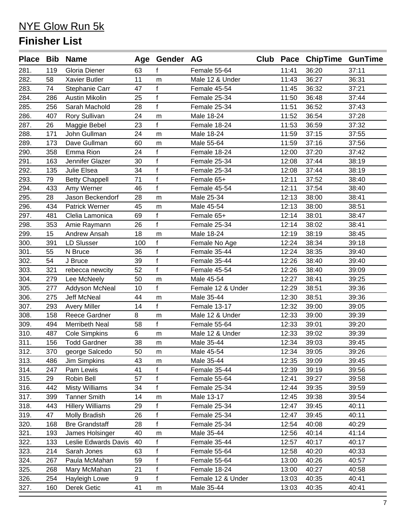|      |     | Place Bib Name          |     | Age Gender AG |                   |       | Club Pace ChipTime GunTime |       |
|------|-----|-------------------------|-----|---------------|-------------------|-------|----------------------------|-------|
| 281. | 119 | Gloria Diener           | 63  | f             | Female 55-64      | 11:41 | 36:20                      | 37:11 |
| 282. | 58  | <b>Xavier Butler</b>    | 11  | m             | Male 12 & Under   | 11:43 | 36:27                      | 36:31 |
| 283. | 74  | Stephanie Carr          | 47  | $\mathbf{f}$  | Female 45-54      | 11:45 | 36:32                      | 37:21 |
| 284. | 286 | <b>Austin Mikolin</b>   | 25  | $\mathbf{f}$  | Female 25-34      | 11:50 | 36:48                      | 37:44 |
| 285. | 256 | Sarah Machold           | 28  | $\mathbf{f}$  | Female 25-34      | 11:51 | 36:52                      | 37:43 |
| 286. | 407 | Rory Sullivan           | 24  | m             | Male 18-24        | 11:52 | 36:54                      | 37:28 |
| 287. | 26  | Maggie Bebel            | 23  | f             | Female 18-24      | 11:53 | 36:59                      | 37:32 |
| 288. | 171 | John Gullman            | 24  | m             | Male 18-24        | 11:59 | 37:15                      | 37:55 |
| 289. | 173 | Dave Gullman            | 60  | m             | Male 55-64        | 11:59 | 37:16                      | 37:56 |
| 290. | 358 | Emma Rion               | 24  | $\mathsf{f}$  | Female 18-24      | 12:00 | 37:20                      | 37:42 |
| 291. | 163 | Jennifer Glazer         | 30  | $\mathsf{f}$  | Female 25-34      | 12:08 | 37:44                      | 38:19 |
| 292. | 135 | Julie Elsea             | 34  | $\mathsf{f}$  | Female 25-34      | 12:08 | 37:44                      | 38:19 |
| 293. | 79  | <b>Betty Chappell</b>   | 71  | $\mathsf{f}$  | Female 65+        | 12:11 | 37:52                      | 38:40 |
| 294. | 433 | Amy Werner              | 46  | $\mathbf{f}$  | Female 45-54      | 12:11 | 37:54                      | 38:40 |
| 295. | 28  | Jason Beckendorf        | 28  | m             | Male 25-34        | 12:13 | 38:00                      | 38:41 |
| 296. | 434 | Patrick Werner          | 45  | m             | Male 45-54        | 12:13 | 38:00                      | 38:51 |
| 297. | 481 | Clelia Lamonica         | 69  | $\mathsf{f}$  | Female 65+        | 12:14 | 38:01                      | 38:47 |
| 298. | 353 | Amie Raymann            | 26  | $\mathbf{f}$  | Female 25-34      | 12:14 | 38:02                      | 38:41 |
| 299. | 15  | Andrew Ansah            | 18  | m             | Male 18-24        | 12:19 | 38:19                      | 38:45 |
| 300. | 391 | <b>LD Slusser</b>       | 100 | f             | Female No Age     | 12:24 | 38:34                      | 39:18 |
| 301. | 55  | N Bruce                 | 36  | $\mathsf{f}$  | Female 35-44      | 12:24 | 38:35                      | 39:40 |
| 302. | 54  | J Bruce                 | 39  | $\mathbf{f}$  | Female 35-44      | 12:26 | 38:40                      | 39:40 |
| 303. | 321 | rebecca newcity         | 52  | $\mathbf{f}$  | Female 45-54      | 12:26 | 38:40                      | 39:09 |
| 304. | 279 | Lee McNeely             | 50  | m             | Male 45-54        | 12:27 | 38:41                      | 39:25 |
| 305. | 277 | Addyson McNeal          | 10  | $\mathsf{f}$  | Female 12 & Under | 12:29 | 38:51                      | 39:36 |
| 306. | 275 | <b>Jeff McNeal</b>      | 44  | m             | Male 35-44        | 12:30 | 38:51                      | 39:36 |
| 307. | 293 | <b>Avery Miller</b>     | 14  | f             | Female 13-17      | 12:32 | 39:00                      | 39:05 |
| 308. | 158 | <b>Reece Gardner</b>    | 8   | m             | Male 12 & Under   | 12:33 | 39:00                      | 39:39 |
| 309. | 494 | Merribeth Neal          | 58  | $\mathsf{f}$  | Female 55-64      | 12:33 | 39:01                      | 39:20 |
| 310. | 487 | <b>Cole Simpkins</b>    | 6   | m             | Male 12 & Under   | 12:33 | 39:02                      | 39:39 |
| 311. | 156 | <b>Todd Gardner</b>     | 38  | ${\sf m}$     | Male 35-44        | 12:34 | 39:03                      | 39:45 |
| 312. | 370 | george Salcedo          | 50  | ${\sf m}$     | Male 45-54        | 12:34 | 39:05                      | 39:26 |
| 313. | 486 | Jim Simpkins            | 43  | m             | Male 35-44        | 12:35 | 39:09                      | 39:45 |
| 314. | 247 | Pam Lewis               | 41  | f             | Female 35-44      | 12:39 | 39:19                      | 39:56 |
| 315. | 29  | Robin Bell              | 57  | $\mathbf{f}$  | Female 55-64      | 12:41 | 39:27                      | 39:58 |
| 316. | 442 | <b>Misty Williams</b>   | 34  | f             | Female 25-34      | 12:44 | 39:35                      | 39:59 |
| 317. | 399 | <b>Tanner Smith</b>     | 14  | m             | Male 13-17        | 12:45 | 39:38                      | 39:54 |
| 318. | 443 | <b>Hillery Williams</b> | 29  | f             | Female 25-34      | 12:47 | 39:45                      | 40:11 |
| 319. | 47  | Molly Bradish           | 26  | $\mathsf f$   | Female 25-34      | 12:47 | 39:45                      | 40:11 |
| 320. | 168 | <b>Bre Grandstaff</b>   | 28  | $\mathsf f$   | Female 25-34      | 12:54 | 40:08                      | 40:29 |
| 321. | 193 | James Holsinger         | 40  | m             | Male 35-44        | 12:56 | 40:14                      | 41:14 |
| 322. | 133 | Leslie Edwards Davis    | 40  | f             | Female 35-44      | 12:57 | 40:17                      | 40:17 |
| 323. | 214 | Sarah Jones             | 63  | $\mathsf f$   | Female 55-64      | 12:58 | 40:20                      | 40:33 |
| 324. | 267 | Paula McMahan           | 59  | $\mathbf{f}$  | Female 55-64      | 13:00 | 40:26                      | 40:57 |
| 325. | 268 | Mary McMahan            | 21  | $\mathsf f$   | Female 18-24      | 13:00 | 40:27                      | 40:58 |
| 326. | 254 | Hayleigh Lowe           | 9   | $\mathbf{f}$  | Female 12 & Under | 13:03 | 40:35                      | 40:41 |
| 327. | 160 | Derek Getic             | 41  | m             | Male 35-44        | 13:03 | 40:35                      | 40:41 |
|      |     |                         |     |               |                   |       |                            |       |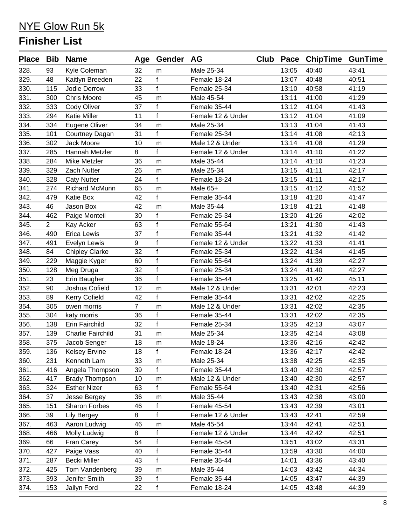|      |                | Place Bib Name           |                | Age Gender AG |                   |       | Club Pace ChipTime GunTime |       |
|------|----------------|--------------------------|----------------|---------------|-------------------|-------|----------------------------|-------|
| 328. | 93             | Kyle Coleman             | 32             | m             | Male 25-34        | 13:05 | 40:40                      | 43:41 |
| 329. | 48             | Kaitlyn Breeden          | 22             | f             | Female 18-24      | 13:07 | 40:48                      | 40:51 |
| 330. | 115            | Jodie Derrow             | 33             | $\mathsf{f}$  | Female 25-34      | 13:10 | 40:58                      | 41:19 |
| 331. | 300            | <b>Chris Moore</b>       | 45             | m             | Male 45-54        | 13:11 | 41:00                      | 41:29 |
| 332. | 333            | Cody Oliver              | 37             | f             | Female 35-44      | 13:12 | 41:04                      | 41:43 |
| 333. | 294            | <b>Katie Miller</b>      | 11             | $\mathbf{f}$  | Female 12 & Under | 13:12 | 41:04                      | 41:09 |
| 334. | 334            | Eugene Oliver            | 34             | m             | Male 25-34        | 13:13 | 41:04                      | 41:43 |
| 335. | 101            | Courtney Dagan           | 31             | f             | Female 25-34      | 13:14 | 41:08                      | 42:13 |
| 336. | 302            | Jack Moore               | 10             | m             | Male 12 & Under   | 13:14 | 41:08                      | 41:29 |
| 337. | 285            | Hannah Metzler           | 8              | f             | Female 12 & Under | 13:14 | 41:10                      | 41:22 |
| 338. | 284            | Mike Metzler             | 36             | m             | Male 35-44        | 13:14 | 41:10                      | 41:23 |
| 339. | 329            | Zach Nutter              | 26             | m             | Male 25-34        | 13:15 | 41:11                      | 42:17 |
| 340. | 328            | <b>Caty Nutter</b>       | 24             | $\mathbf{f}$  | Female 18-24      | 13:15 | 41:11                      | 42:17 |
| 341. | 274            | <b>Richard McMunn</b>    | 65             | m             | Male 65+          | 13:15 | 41:12                      | 41:52 |
| 342. | 479            | Katie Box                | 42             | f             | Female 35-44      | 13:18 | 41:20                      | 41:47 |
| 343. | 46             | Jason Box                | 42             | m             | Male 35-44        | 13:18 | 41:21                      | 41:48 |
| 344. | 462            | Paige Monteil            | 30             | f             | Female 25-34      | 13:20 | 41:26                      | 42:02 |
| 345. | $\overline{2}$ | Kay Acker                | 63             | f             | Female 55-64      | 13:21 | 41:30                      | 41:43 |
| 346. | 490            | Erica Lewis              | 37             | f             | Female 35-44      | 13:21 | 41:32                      | 41:42 |
| 347. | 491            | Evelyn Lewis             | 9              | f             | Female 12 & Under | 13:22 | 41:33                      | 41:41 |
| 348. | 84             | <b>Chipley Clarke</b>    | 32             | $\mathbf f$   | Female 25-34      | 13:22 | 41:34                      | 41:45 |
| 349. | 229            | Maggie Kyger             | 60             | $\mathsf{f}$  | Female 55-64      | 13:24 | 41:39                      | 42:27 |
| 350. | 128            | Meg Druga                | 32             | $\mathbf f$   | Female 25-34      | 13:24 | 41:40                      | 42:27 |
| 351. | 23             | Erin Baugher             | 36             | $\mathbf{f}$  | Female 35-44      | 13:25 | 41:42                      | 45:11 |
| 352. | 90             | Joshua Cofield           | 12             | m             | Male 12 & Under   | 13:31 | 42:01                      | 42:23 |
| 353. | 89             | <b>Kerry Cofield</b>     | 42             | f             | Female 35-44      | 13:31 | 42:02                      | 42:25 |
| 354. | 305            | owen morris              | $\overline{7}$ | m             | Male 12 & Under   | 13:31 | 42:02                      | 42:35 |
| 355. | 304            | katy morris              | 36             | $\mathsf{f}$  | Female 35-44      | 13:31 | 42:02                      | 42:35 |
| 356. | 138            | Erin Fairchild           | 32             | f             | Female 25-34      | 13:35 | 42:13                      | 43:07 |
| 357. | 139            | <b>Charlie Fairchild</b> | 31             | m             | Male 25-34        | 13:35 | 42:14                      | 43:08 |
| 358. | 375            | Jacob Senger             | 18             | m             | Male 18-24        | 13:36 | 42:16                      | 42:42 |
| 359. | 136            | <b>Kelsey Ervine</b>     | 18             | f             | Female 18-24      | 13:36 | 42:17                      | 42:42 |
| 360. | 231            | Kenneth Lam              | 33             | m             | Male 25-34        | 13:38 | 42:25                      | 42:35 |
| 361. | 416            | Angela Thompson          | 39             | f             | Female 35-44      | 13:40 | 42:30                      | 42:57 |
| 362. | 417            | <b>Brady Thompson</b>    | 10             | m             | Male 12 & Under   | 13:40 | 42:30                      | 42:57 |
| 363. | 324            | <b>Esther Nizer</b>      | 63             | $\mathbf{f}$  | Female 55-64      | 13:40 | 42:31                      | 42:56 |
| 364. | 37             | Jesse Bergey             | 36             | m             | Male 35-44        | 13:43 | 42:38                      | 43:00 |
| 365. | 151            | Sharon Forbes            | 46             | f             | Female 45-54      | 13:43 | 42:39                      | 43:01 |
| 366. | 39             | <b>Lily Bergey</b>       | 8              | $\mathbf{f}$  | Female 12 & Under | 13:43 | 42:41                      | 42:59 |
| 367. | 463            | Aaron Ludwig             | 46             | m             | Male 45-54        | 13:44 | 42:41                      | 42:51 |
| 368. | 466            | Molly Ludwig             | 8              | f             | Female 12 & Under | 13:44 | 42:42                      | 42:51 |
| 369. | 66             | Fran Carey               | 54             | $\mathsf{f}$  | Female 45-54      | 13:51 | 43:02                      | 43:31 |
| 370. | 427            | Paige Vass               | 40             | f             | Female 35-44      | 13:59 | 43:30                      | 44:00 |
| 371. | 287            | <b>Becki Miller</b>      | 43             | f             | Female 35-44      | 14:01 | 43:36                      | 43:40 |
| 372. | 425            | Tom Vandenberg           | 39             | m             | Male 35-44        | 14:03 | 43:42                      | 44:34 |
| 373. | 393            | Jenifer Smith            | 39             | f             | Female 35-44      | 14:05 | 43:47                      | 44:39 |
| 374. | 153            | Jailyn Ford              | 22             | f             | Female 18-24      | 14:05 | 43:48                      | 44:39 |
|      |                |                          |                |               |                   |       |                            |       |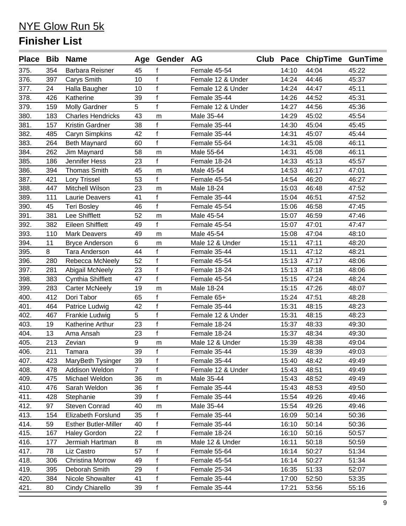|      |     | Place Bib Name              |                | Age Gender AG |                   |       | Club Pace ChipTime GunTime |       |
|------|-----|-----------------------------|----------------|---------------|-------------------|-------|----------------------------|-------|
| 375. | 354 | <b>Barbara Reisner</b>      | 45             | f             | Female 45-54      | 14:10 | 44:04                      | 45:22 |
| 376. | 397 | Carys Smith                 | 10             | $\mathbf{f}$  | Female 12 & Under | 14:24 | 44:46                      | 45:37 |
| 377. | 24  | Halla Baugher               | 10             | f             | Female 12 & Under | 14:24 | 44:47                      | 45:11 |
| 378. | 426 | Katherine                   | 39             | f             | Female 35-44      | 14:26 | 44:52                      | 45:31 |
| 379. | 159 | <b>Molly Gardner</b>        | 5              | f             | Female 12 & Under | 14:27 | 44:56                      | 45:36 |
| 380. | 183 | <b>Charles Hendricks</b>    | 43             | m             | Male 35-44        | 14:29 | 45:02                      | 45:54 |
| 381. | 157 | Kristin Gardner             | 38             | f             | Female 35-44      | 14:30 | 45:04                      | 45:45 |
| 382. | 485 | Caryn Simpkins              | 42             | $\mathbf f$   | Female 35-44      | 14:31 | 45:07                      | 45:44 |
| 383. | 264 | <b>Beth Maynard</b>         | 60             | f             | Female 55-64      | 14:31 | 45:08                      | 46:11 |
| 384. | 262 | Jim Maynard                 | 58             | m             | Male 55-64        | 14:31 | 45:08                      | 46:11 |
| 385. | 186 | Jennifer Hess               | 23             | $\mathsf{f}$  | Female 18-24      | 14:33 | 45:13                      | 45:57 |
| 386. | 394 | <b>Thomas Smith</b>         | 45             | ${\sf m}$     | Male 45-54        | 14:53 | 46:17                      | 47:01 |
| 387. | 421 | Lory Trissel                | 53             | $\mathbf{f}$  | Female 45-54      | 14:54 | 46:20                      | 46:27 |
| 388. | 447 | Mitchell Wilson             | 23             | m             | Male 18-24        | 15:03 | 46:48                      | 47:52 |
| 389. | 111 | <b>Laurie Deavers</b>       | 41             | f             | Female 35-44      | 15:04 | 46:51                      | 47:52 |
| 390. | 45  | <b>Teri Bosley</b>          | 46             | f             | Female 45-54      | 15:06 | 46:58                      | 47:45 |
| 391. | 381 | Lee Shifflett               | 52             | m             | Male 45-54        | 15:07 | 46:59                      | 47:46 |
| 392. | 382 | <b>Eileen Shifflett</b>     | 49             | f             | Female 45-54      | 15:07 | 47:01                      | 47:47 |
| 393. | 110 | <b>Mark Deavers</b>         | 49             | m             | Male 45-54        | 15:08 | 47:04                      | 48:10 |
| 394. | 11  | <b>Bryce Anderson</b>       | 6              | m             | Male 12 & Under   | 15:11 | 47:11                      | 48:20 |
| 395. | 8   | <b>Tara Anderson</b>        | 44             | f             | Female 35-44      | 15:11 | 47:12                      | 48:21 |
| 396. | 280 | Rebecca McNeely             | 52             | $\mathsf{f}$  | Female 45-54      | 15:13 | 47:17                      | 48:06 |
| 397. | 281 | Abigail McNeely             | 23             | f             | Female 18-24      | 15:13 | 47:18                      | 48:06 |
| 398. | 383 | Cynthia Shifflett           | 47             | f             | Female 45-54      | 15:15 | 47:24                      | 48:24 |
| 399. | 283 | <b>Carter McNeely</b>       | 19             | m             | Male 18-24        | 15:15 | 47:26                      | 48:07 |
| 400. | 412 | Dori Tabor                  | 65             | f             | Female 65+        | 15:24 | 47:51                      | 48:28 |
| 401. | 464 | Patrice Ludwig              | 42             | $\mathsf{f}$  | Female 35-44      | 15:31 | 48:15                      | 48:23 |
| 402. | 467 | Frankie Ludwig              | 5              | $\mathbf f$   | Female 12 & Under | 15:31 | 48:15                      | 48:23 |
| 403. | 19  | Katherine Arthur            | 23             | $\mathsf{f}$  | Female 18-24      | 15:37 | 48:33                      | 49:30 |
| 404. | 13  | Ama Ansah                   | 23             | f             | Female 18-24      | 15:37 | 48:34                      | 49:30 |
| 405. | 213 | Zevian                      | 9              | m             | Male 12 & Under   | 15:39 | 48:38                      | 49:04 |
| 406. | 211 | Tamara                      | 39             | f             | Female 35-44      | 15:39 | 48:39                      | 49:03 |
| 407. | 423 | MaryBeth Tysinger           | 39             | f             | Female 35-44      | 15:40 | 48:42                      | 49:49 |
| 408. | 478 | Addison Weldon              | $\overline{7}$ | f             | Female 12 & Under | 15:43 | 48:51                      | 49:49 |
| 409. | 475 | Michael Weldon              | 36             | m             | Male 35-44        | 15:43 | 48:52                      | 49:49 |
| 410. | 476 | Sarah Weldon                | 36             | f             | Female 35-44      | 15:43 | 48:53                      | 49:50 |
| 411. | 428 | Stephanie                   | 39             | $\mathsf{f}$  | Female 35-44      | 15:54 | 49:26                      | 49:46 |
| 412. | 97  | Steven Conrad               | 40             | m             | Male 35-44        | 15:54 | 49:26                      | 49:46 |
| 413. | 154 | Elizabeth Forslund          | 35             | f             | Female 35-44      | 16:09 | 50:14                      | 50:36 |
| 414. | 59  | <b>Esther Butler-Miller</b> | 40             | f             | Female 35-44      | 16:10 | 50:14                      | 50:36 |
| 415. | 167 | <b>Haley Gordon</b>         | 22             | f             | Female 18-24      | 16:10 | 50:16                      | 50:57 |
| 416. | 177 | Jermiah Hartman             | 8              | m             | Male 12 & Under   | 16:11 | 50:18                      | 50:59 |
| 417. | 78  | Liz Castro                  | 57             | f             | Female 55-64      | 16:14 | 50:27                      | 51:34 |
| 418. | 306 | Christina Morrow            | 49             | f             | Female 45-54      | 16:14 | 50:27                      | 51:34 |
| 419. | 395 | Deborah Smith               | 29             | f             | Female 25-34      | 16:35 | 51:33                      | 52:07 |
| 420. | 384 | Nicole Showalter            | 41             | $\mathsf{f}$  | Female 35-44      | 17:00 | 52:50                      | 53:35 |
| 421. | 80  | Cindy Chiarello             | 39             | f             | Female 35-44      | 17:21 | 53:56                      | 55:16 |
|      |     |                             |                |               |                   |       |                            |       |